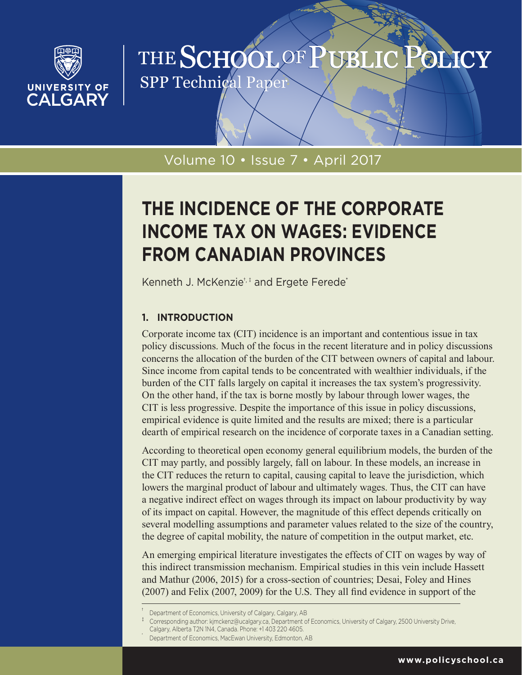

# THE SCHOOL OF PUBLIC POLICY

SPP Technical Paper

# Volume 10 • Issue 7 • April 2017

# **THE INCIDENCE OF THE CORPORATE INCOME TAX ON WAGES: EVIDENCE FROM CANADIAN PROVINCES**

Kenneth J. McKenzie<sup>†, ‡</sup> and Ergete Ferede<sup>\*</sup>

# **1. INTRODUCTION**

Corporate income tax (CIT) incidence is an important and contentious issue in tax policy discussions. Much of the focus in the recent literature and in policy discussions concerns the allocation of the burden of the CIT between owners of capital and labour. Since income from capital tends to be concentrated with wealthier individuals, if the burden of the CIT falls largely on capital it increases the tax system's progressivity. On the other hand, if the tax is borne mostly by labour through lower wages, the CIT is less progressive. Despite the importance of this issue in policy discussions, empirical evidence is quite limited and the results are mixed; there is a particular dearth of empirical research on the incidence of corporate taxes in a Canadian setting.

According to theoretical open economy general equilibrium models, the burden of the CIT may partly, and possibly largely, fall on labour. In these models, an increase in the CIT reduces the return to capital, causing capital to leave the jurisdiction, which lowers the marginal product of labour and ultimately wages. Thus, the CIT can have a negative indirect effect on wages through its impact on labour productivity by way of its impact on capital. However, the magnitude of this effect depends critically on several modelling assumptions and parameter values related to the size of the country, the degree of capital mobility, the nature of competition in the output market, etc.

An emerging empirical literature investigates the effects of CIT on wages by way of this indirect transmission mechanism. Empirical studies in this vein include Hassett and Mathur (2006, 2015) for a cross-section of countries; Desai, Foley and Hines (2007) and Felix (2007, 2009) for the U.S. They all find evidence in support of the

Department of Economics, University of Calgary, Calgary, AB

<sup>‡</sup> Corresponding author: kjmckenz@ucalgary.ca, Department of Economics, University of Calgary, 2500 University Drive, Calgary, Alberta T2N 1N4, Canada. Phone: +1 403 220 4605.

Department of Economics, MacEwan University, Edmonton, AB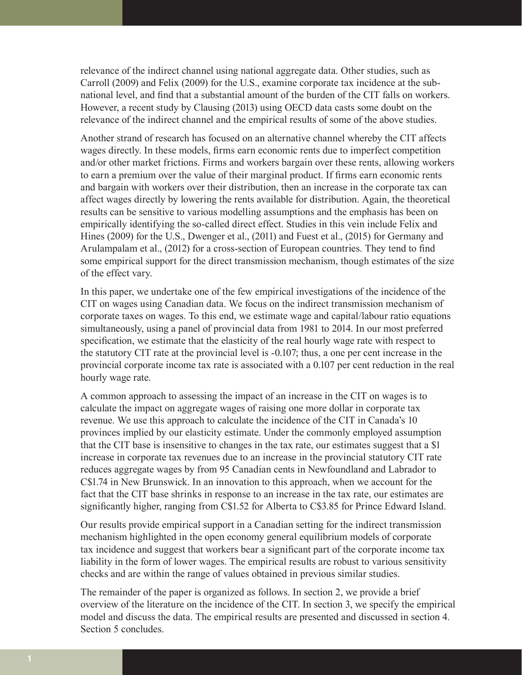relevance of the indirect channel using national aggregate data. Other studies, such as Carroll (2009) and Felix (2009) for the U.S., examine corporate tax incidence at the subnational level, and find that a substantial amount of the burden of the CIT falls on workers. However, a recent study by Clausing (2013) using OECD data casts some doubt on the relevance of the indirect channel and the empirical results of some of the above studies.

Another strand of research has focused on an alternative channel whereby the CIT affects wages directly. In these models, firms earn economic rents due to imperfect competition and/or other market frictions. Firms and workers bargain over these rents, allowing workers to earn a premium over the value of their marginal product. If firms earn economic rents and bargain with workers over their distribution, then an increase in the corporate tax can affect wages directly by lowering the rents available for distribution. Again, the theoretical results can be sensitive to various modelling assumptions and the emphasis has been on empirically identifying the so-called direct effect. Studies in this vein include Felix and Hines (2009) for the U.S., Dwenger et al., (2011) and Fuest et al., (2015) for Germany and Arulampalam et al., (2012) for a cross-section of European countries. They tend to find some empirical support for the direct transmission mechanism, though estimates of the size of the effect vary.

In this paper, we undertake one of the few empirical investigations of the incidence of the CIT on wages using Canadian data. We focus on the indirect transmission mechanism of corporate taxes on wages. To this end, we estimate wage and capital/labour ratio equations simultaneously, using a panel of provincial data from 1981 to 2014. In our most preferred specification, we estimate that the elasticity of the real hourly wage rate with respect to the statutory CIT rate at the provincial level is -0.107; thus, a one per cent increase in the provincial corporate income tax rate is associated with a 0.107 per cent reduction in the real hourly wage rate.

A common approach to assessing the impact of an increase in the CIT on wages is to calculate the impact on aggregate wages of raising one more dollar in corporate tax revenue. We use this approach to calculate the incidence of the CIT in Canada's 10 provinces implied by our elasticity estimate. Under the commonly employed assumption that the CIT base is insensitive to changes in the tax rate, our estimates suggest that a \$1 increase in corporate tax revenues due to an increase in the provincial statutory CIT rate reduces aggregate wages by from 95 Canadian cents in Newfoundland and Labrador to C\$1.74 in New Brunswick. In an innovation to this approach, when we account for the fact that the CIT base shrinks in response to an increase in the tax rate, our estimates are significantly higher, ranging from C\$1.52 for Alberta to C\$3.85 for Prince Edward Island.

Our results provide empirical support in a Canadian setting for the indirect transmission mechanism highlighted in the open economy general equilibrium models of corporate tax incidence and suggest that workers bear a significant part of the corporate income tax liability in the form of lower wages. The empirical results are robust to various sensitivity checks and are within the range of values obtained in previous similar studies.

The remainder of the paper is organized as follows. In section 2, we provide a brief overview of the literature on the incidence of the CIT. In section 3, we specify the empirical model and discuss the data. The empirical results are presented and discussed in section 4. Section 5 concludes.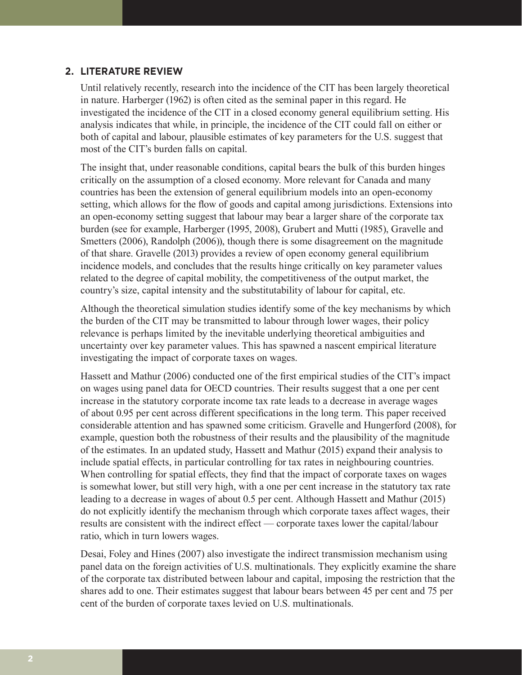# **2. LITERATURE REVIEW**

Until relatively recently, research into the incidence of the CIT has been largely theoretical in nature. Harberger (1962) is often cited as the seminal paper in this regard. He investigated the incidence of the CIT in a closed economy general equilibrium setting. His analysis indicates that while, in principle, the incidence of the CIT could fall on either or both of capital and labour, plausible estimates of key parameters for the U.S. suggest that most of the CIT's burden falls on capital.

The insight that, under reasonable conditions, capital bears the bulk of this burden hinges critically on the assumption of a closed economy. More relevant for Canada and many countries has been the extension of general equilibrium models into an open-economy setting, which allows for the flow of goods and capital among jurisdictions. Extensions into an open-economy setting suggest that labour may bear a larger share of the corporate tax burden (see for example, Harberger (1995, 2008), Grubert and Mutti (1985), Gravelle and Smetters (2006), Randolph (2006)), though there is some disagreement on the magnitude of that share. Gravelle (2013) provides a review of open economy general equilibrium incidence models, and concludes that the results hinge critically on key parameter values related to the degree of capital mobility, the competitiveness of the output market, the country's size, capital intensity and the substitutability of labour for capital, etc.

Although the theoretical simulation studies identify some of the key mechanisms by which the burden of the CIT may be transmitted to labour through lower wages, their policy relevance is perhaps limited by the inevitable underlying theoretical ambiguities and uncertainty over key parameter values. This has spawned a nascent empirical literature investigating the impact of corporate taxes on wages.

Hassett and Mathur (2006) conducted one of the first empirical studies of the CIT's impact on wages using panel data for OECD countries. Their results suggest that a one per cent increase in the statutory corporate income tax rate leads to a decrease in average wages of about 0.95 per cent across different specifications in the long term. This paper received considerable attention and has spawned some criticism. Gravelle and Hungerford (2008), for example, question both the robustness of their results and the plausibility of the magnitude of the estimates. In an updated study, Hassett and Mathur (2015) expand their analysis to include spatial effects, in particular controlling for tax rates in neighbouring countries. When controlling for spatial effects, they find that the impact of corporate taxes on wages is somewhat lower, but still very high, with a one per cent increase in the statutory tax rate leading to a decrease in wages of about 0.5 per cent. Although Hassett and Mathur (2015) do not explicitly identify the mechanism through which corporate taxes affect wages, their results are consistent with the indirect effect — corporate taxes lower the capital/labour ratio, which in turn lowers wages.

Desai, Foley and Hines (2007) also investigate the indirect transmission mechanism using panel data on the foreign activities of U.S. multinationals. They explicitly examine the share of the corporate tax distributed between labour and capital, imposing the restriction that the shares add to one. Their estimates suggest that labour bears between 45 per cent and 75 per cent of the burden of corporate taxes levied on U.S. multinationals.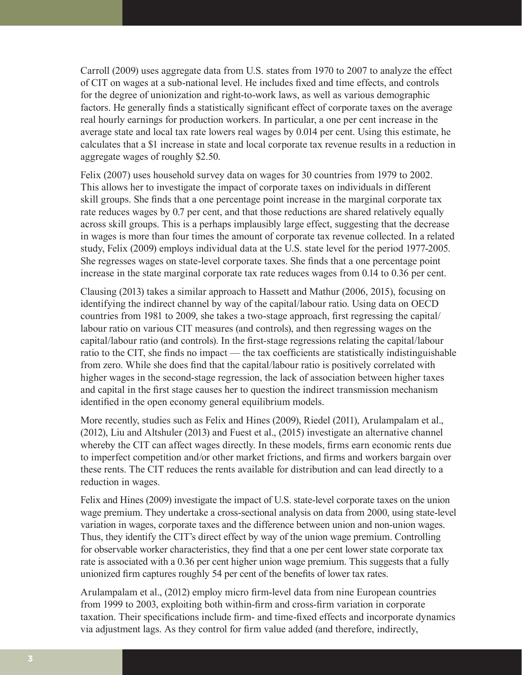Carroll (2009) uses aggregate data from U.S. states from 1970 to 2007 to analyze the effect of CIT on wages at a sub-national level. He includes fixed and time effects, and controls for the degree of unionization and right-to-work laws, as well as various demographic factors. He generally finds a statistically significant effect of corporate taxes on the average real hourly earnings for production workers. In particular, a one per cent increase in the average state and local tax rate lowers real wages by 0.014 per cent. Using this estimate, he calculates that a \$1 increase in state and local corporate tax revenue results in a reduction in aggregate wages of roughly \$2.50.

Felix (2007) uses household survey data on wages for 30 countries from 1979 to 2002. This allows her to investigate the impact of corporate taxes on individuals in different skill groups. She finds that a one percentage point increase in the marginal corporate tax rate reduces wages by 0.7 per cent, and that those reductions are shared relatively equally across skill groups. This is a perhaps implausibly large effect, suggesting that the decrease in wages is more than four times the amount of corporate tax revenue collected. In a related study, Felix (2009) employs individual data at the U.S. state level for the period 1977-2005. She regresses wages on state-level corporate taxes. She finds that a one percentage point increase in the state marginal corporate tax rate reduces wages from 0.14 to 0.36 per cent.

Clausing (2013) takes a similar approach to Hassett and Mathur (2006, 2015), focusing on identifying the indirect channel by way of the capital/labour ratio. Using data on OECD countries from 1981 to 2009, she takes a two-stage approach, first regressing the capital/ labour ratio on various CIT measures (and controls), and then regressing wages on the capital/labour ratio (and controls). In the first-stage regressions relating the capital/labour ratio to the CIT, she finds no impact — the tax coefficients are statistically indistinguishable from zero. While she does find that the capital/labour ratio is positively correlated with higher wages in the second-stage regression, the lack of association between higher taxes and capital in the first stage causes her to question the indirect transmission mechanism identified in the open economy general equilibrium models.

More recently, studies such as Felix and Hines (2009), Riedel (2011), Arulampalam et al., (2012), Liu and Altshuler (2013) and Fuest et al., (2015) investigate an alternative channel whereby the CIT can affect wages directly. In these models, firms earn economic rents due to imperfect competition and/or other market frictions, and firms and workers bargain over these rents. The CIT reduces the rents available for distribution and can lead directly to a reduction in wages.

Felix and Hines (2009) investigate the impact of U.S. state-level corporate taxes on the union wage premium. They undertake a cross-sectional analysis on data from 2000, using state-level variation in wages, corporate taxes and the difference between union and non-union wages. Thus, they identify the CIT's direct effect by way of the union wage premium. Controlling for observable worker characteristics, they find that a one per cent lower state corporate tax rate is associated with a 0.36 per cent higher union wage premium. This suggests that a fully unionized firm captures roughly 54 per cent of the benefits of lower tax rates.

Arulampalam et al., (2012) employ micro firm-level data from nine European countries from 1999 to 2003, exploiting both within-firm and cross-firm variation in corporate taxation. Their specifications include firm- and time-fixed effects and incorporate dynamics via adjustment lags. As they control for firm value added (and therefore, indirectly,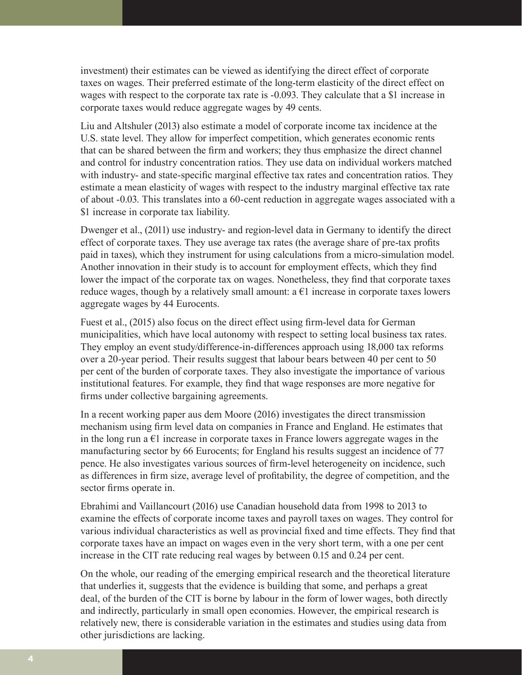investment) their estimates can be viewed as identifying the direct effect of corporate taxes on wages. Their preferred estimate of the long-term elasticity of the direct effect on wages with respect to the corporate tax rate is -0.093. They calculate that a \$1 increase in corporate taxes would reduce aggregate wages by 49 cents.

Liu and Altshuler (2013) also estimate a model of corporate income tax incidence at the U.S. state level. They allow for imperfect competition, which generates economic rents that can be shared between the firm and workers; they thus emphasize the direct channel and control for industry concentration ratios. They use data on individual workers matched with industry- and state-specific marginal effective tax rates and concentration ratios. They estimate a mean elasticity of wages with respect to the industry marginal effective tax rate of about -0.03. This translates into a 60-cent reduction in aggregate wages associated with a \$1 increase in corporate tax liability.

Dwenger et al., (2011) use industry- and region-level data in Germany to identify the direct effect of corporate taxes. They use average tax rates (the average share of pre-tax profits paid in taxes), which they instrument for using calculations from a micro-simulation model. Another innovation in their study is to account for employment effects, which they find lower the impact of the corporate tax on wages. Nonetheless, they find that corporate taxes reduce wages, though by a relatively small amount:  $a \in I$  increase in corporate taxes lowers aggregate wages by 44 Eurocents.

Fuest et al., (2015) also focus on the direct effect using firm-level data for German municipalities, which have local autonomy with respect to setting local business tax rates. They employ an event study/difference-in-differences approach using 18,000 tax reforms over a 20-year period. Their results suggest that labour bears between 40 per cent to 50 per cent of the burden of corporate taxes. They also investigate the importance of various institutional features. For example, they find that wage responses are more negative for firms under collective bargaining agreements.

In a recent working paper aus dem Moore (2016) investigates the direct transmission mechanism using firm level data on companies in France and England. He estimates that in the long run a  $\epsilon$ 1 increase in corporate taxes in France lowers aggregate wages in the manufacturing sector by 66 Eurocents; for England his results suggest an incidence of 77 pence. He also investigates various sources of firm-level heterogeneity on incidence, such as differences in firm size, average level of profitability, the degree of competition, and the sector firms operate in.

Ebrahimi and Vaillancourt (2016) use Canadian household data from 1998 to 2013 to examine the effects of corporate income taxes and payroll taxes on wages. They control for various individual characteristics as well as provincial fixed and time effects. They find that corporate taxes have an impact on wages even in the very short term, with a one per cent increase in the CIT rate reducing real wages by between 0.15 and 0.24 per cent.

On the whole, our reading of the emerging empirical research and the theoretical literature that underlies it, suggests that the evidence is building that some, and perhaps a great deal, of the burden of the CIT is borne by labour in the form of lower wages, both directly and indirectly, particularly in small open economies. However, the empirical research is relatively new, there is considerable variation in the estimates and studies using data from other jurisdictions are lacking.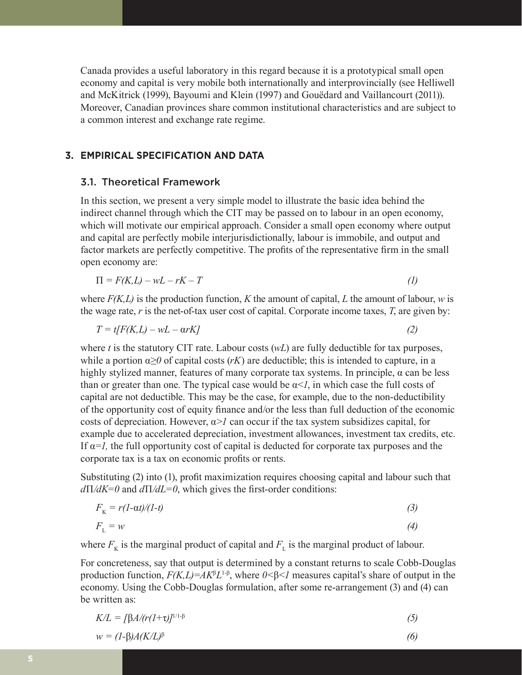Canada provides a useful laboratory in this regard because it is a prototypical small open economy and capital is very mobile both internationally and interprovincially (see Helliwell and McKitrick (1999), Bayoumi and Klein (1997) and Gouëdard and Vaillancourt (2011)). Moreover, Canadian provinces share common institutional characteristics and are subject to a common interest and exchange rate regime.

### **3. EMPIRICAL SPECIFICATION AND DATA**

#### 3.1. Theoretical Framework

In this section, we present a very simple model to illustrate the basic idea behind the indirect channel through which the CIT may be passed on to labour in an open economy, which will motivate our empirical approach. Consider a small open economy where output and capital are perfectly mobile interjurisdictionally, labour is immobile, and output and factor markets are perfectly competitive. The profits of the representative firm in the small open economy are:

$$
\Pi = F(K, L) - wL - rK - T \tag{1}
$$

where  $F(K,L)$  is the production function, K the amount of capital, L the amount of labour, w is the wage rate, *r* is the net-of-tax user cost of capital. Corporate income taxes, *T*, are given by:

$$
T = t[F(K, L) - wL - \alpha rK]
$$
\n<sup>(2)</sup>

where *t* is the statutory CIT rate. Labour costs (*wL*) are fully deductible for tax purposes, while a portion  $\alpha \ge 0$  of capital costs (*rK*) are deductible; this is intended to capture, in a highly stylized manner, features of many corporate tax systems. In principle,  $\alpha$  can be less than or greater than one. The typical case would be  $\alpha < I$ , in which case the full costs of capital are not deductible. This may be the case, for example, due to the non-deductibility of the opportunity cost of equity finance and/or the less than full deduction of the economic costs of depreciation. However,  $\alpha > l$  can occur if the tax system subsidizes capital, for example due to accelerated depreciation, investment allowances, investment tax credits, etc. If  $\alpha = 1$ , the full opportunity cost of capital is deducted for corporate tax purposes and the corporate tax is a tax on economic profits or rents.

Substituting (2) into (1), profit maximization requires choosing capital and labour such that *d*Π*/dK=0* and *d*Π*/dL=0*, which gives the first-order conditions:

$$
F_{\rm K} = r(l-\alpha t)/(l-t) \tag{3}
$$

$$
F_{\rm L} = w \tag{4}
$$

where  $F<sub>K</sub>$  is the marginal product of capital and  $F<sub>L</sub>$  is the marginal product of labour.

For concreteness, say that output is determined by a constant returns to scale Cobb-Douglas production function, *F(K,L)=AK*<sup>β</sup> *L*1-β, where *0<*β*<1* measures capital's share of output in the economy. Using the Cobb-Douglas formulation, after some re-arrangement (3) and (4) can be written as:

$$
K/L = \left[\frac{\beta A}{r(1+\tau)}\right]^{1/1-\beta}
$$
\n
$$
w = (1-\beta)A(K/L)^{\beta} \tag{6}
$$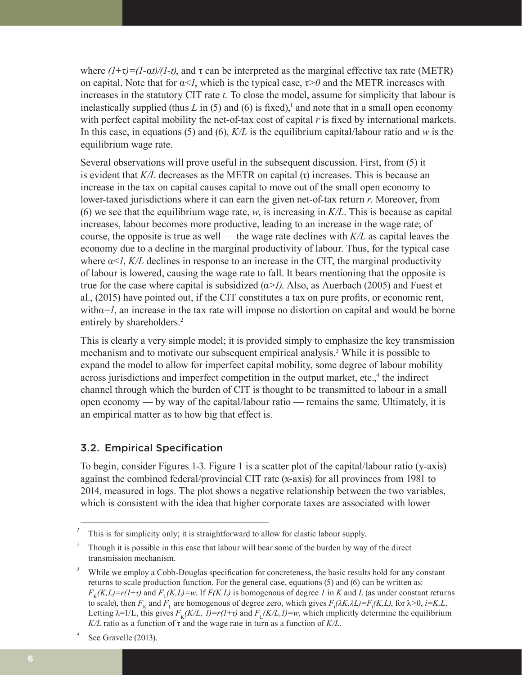where  $(I+\tau)=(I-\alpha t)/(I-t)$ , and  $\tau$  can be interpreted as the marginal effective tax rate (METR) on capital. Note that for  $\alpha < 1$ , which is the typical case,  $\tau > 0$  and the METR increases with increases in the statutory CIT rate *t.* To close the model, assume for simplicity that labour is inelastically supplied (thus  $L$  in (5) and (6) is fixed),<sup>1</sup> and note that in a small open economy with perfect capital mobility the net-of-tax cost of capital *r* is fixed by international markets. In this case, in equations (5) and (6), *K/L* is the equilibrium capital/labour ratio and *w* is the equilibrium wage rate.

Several observations will prove useful in the subsequent discussion. First, from (5) it is evident that  $K/L$  decreases as the METR on capital  $(\tau)$  increases. This is because an increase in the tax on capital causes capital to move out of the small open economy to lower-taxed jurisdictions where it can earn the given net-of-tax return *r*. Moreover, from (6) we see that the equilibrium wage rate, *w*, is increasing in *K/L*. This is because as capital increases, labour becomes more productive, leading to an increase in the wage rate; of course, the opposite is true as well — the wage rate declines with *K/L* as capital leaves the economy due to a decline in the marginal productivity of labour. Thus, for the typical case where  $\alpha$ <*I*,  $K/L$  declines in response to an increase in the CIT, the marginal productivity of labour is lowered, causing the wage rate to fall. It bears mentioning that the opposite is true for the case where capital is subsidized  $(\alpha > l)$ . Also, as Auerbach (2005) and Fuest et al., (2015) have pointed out, if the CIT constitutes a tax on pure profits, or economic rent, withα*=1*, an increase in the tax rate will impose no distortion on capital and would be borne entirely by shareholders.<sup>2</sup>

This is clearly a very simple model; it is provided simply to emphasize the key transmission mechanism and to motivate our subsequent empirical analysis.<sup>3</sup> While it is possible to expand the model to allow for imperfect capital mobility, some degree of labour mobility across jurisdictions and imperfect competition in the output market, etc.,<sup>4</sup> the indirect channel through which the burden of CIT is thought to be transmitted to labour in a small open economy — by way of the capital/labour ratio — remains the same. Ultimately, it is an empirical matter as to how big that effect is.

# 3.2. Empirical Specification

To begin, consider Figures 1-3. Figure 1 is a scatter plot of the capital/labour ratio (y-axis) against the combined federal/provincial CIT rate (x-axis) for all provinces from 1981 to 2014, measured in logs. The plot shows a negative relationship between the two variables, which is consistent with the idea that higher corporate taxes are associated with lower

*<sup>1</sup>* This is for simplicity only; it is straightforward to allow for elastic labour supply.

*<sup>2</sup>* Though it is possible in this case that labour will bear some of the burden by way of the direct transmission mechanism.

*<sup>3</sup>* While we employ a Cobb-Douglas specification for concreteness, the basic results hold for any constant returns to scale production function. For the general case, equations (5) and (6) can be written as:  $F_k(K,L)=r(1+\tau)$  and  $F_k(K,L)=w$ . If  $F(K,L)$  is homogenous of degree *1* in *K* and *L* (as under constant returns to scale), then  $F_k$  and  $F_L$  are homogenous of degree zero, which gives  $F_i(\lambda K, \lambda L) = F_i(K, L)$ , for  $\lambda > 0$ ,  $i = K, L$ . Letting  $\lambda=1/L$ , this gives  $F_K(K/L, 1)=r(1+\tau)$  and  $F_L(K/L, 1)=w$ , which implicitly determine the equilibrium *K/L* ratio as a function of τ and the wage rate in turn as a function of *K/L*.

See Gravelle (2013).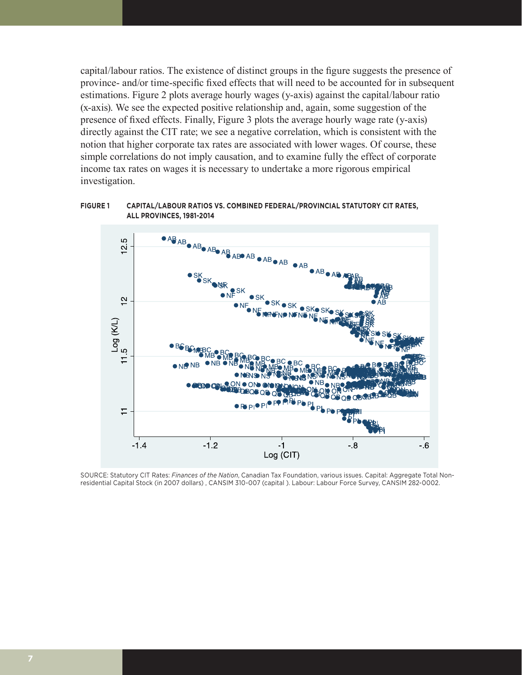capital/labour ratios. The existence of distinct groups in the figure suggests the presence of province- and/or time-specific fixed effects that will need to be accounted for in subsequent estimations. Figure 2 plots average hourly wages (y-axis) against the capital/labour ratio (x-axis). We see the expected positive relationship and, again, some suggestion of the presence of fixed effects. Finally, Figure 3 plots the average hourly wage rate (y-axis) directly against the CIT rate; we see a negative correlation, which is consistent with the notion that higher corporate tax rates are associated with lower wages. Of course, these simple correlations do not imply causation, and to examine fully the effect of corporate income tax rates on wages it is necessary to undertake a more rigorous empirical investigation.





SOURCE: Statutory CIT Rates: *Finances of the Nation*, Canadian Tax Foundation, various issues. Capital: Aggregate Total Nonresidential Capital Stock (in 2007 dollars) , CANSIM 310-007 (capital ). Labour: Labour Force Survey, CANSIM 282-0002.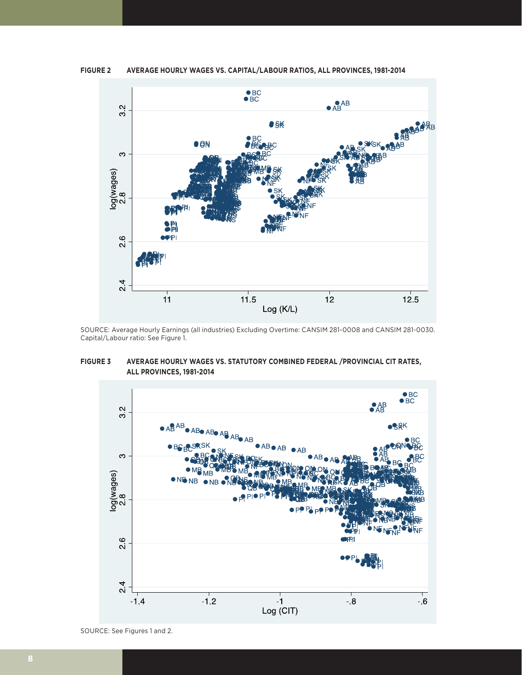**FIGURE 2 AVERAGE HOURLY WAGES VS. CAPITAL/LABOUR RATIOS, ALL PROVINCES, 1981-2014**



SOURCE: Average Hourly Earnings (all industries) Excluding Overtime: CANSIM 281-0008 and CANSIM 281-0030. Capital/Labour ratio: See Figure 1.



**FIGURE 3 AVERAGE HOURLY WAGES VS. STATUTORY COMBINED FEDERAL /PROVINCIAL CIT RATES, ALL PROVINCES, 1981-2014**

SOURCE: See Figures 1 and 2.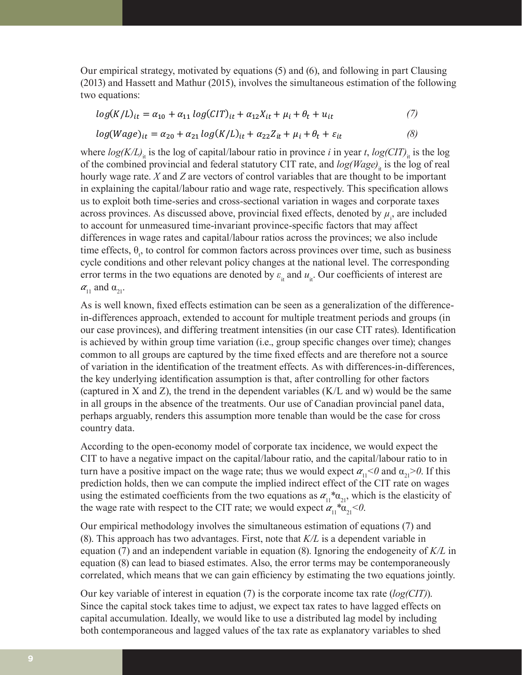Our empirical strategy, motivated by equations (5) and (6), and following in part Clausing (2013) and Hassett and Mathur (2015), involves the simultaneous estimation of the following two equations:

$$
log(K/L)_{it} = \alpha_{10} + \alpha_{11} log(CIT)_{it} + \alpha_{12} X_{it} + \mu_i + \theta_t + u_{it}
$$
 (7)

$$
log(Wage)_{it} = \alpha_{20} + \alpha_{21} log(K/L)_{it} + \alpha_{22} Z_{it} + \mu_i + \theta_t + \varepsilon_{it}
$$
\n
$$
\tag{8}
$$

where  $log(K/L)$ <sub>it</sub> is the log of capital/labour ratio in province *i* in year *t*,  $log(CIT)$ <sub>it</sub> is the log of the combined provincial and federal statutory CIT rate, and  $log(Wage)$ <sub>it</sub> is the log of real hourly wage rate. *X* and *Z* are vectors of control variables that are thought to be important in explaining the capital/labour ratio and wage rate, respectively. This specification allows us to exploit both time-series and cross-sectional variation in wages and corporate taxes across provinces. As discussed above, provincial fixed effects, denoted by  $\mu_i$ , are included to account for unmeasured time-invariant province-specific factors that may affect differences in wage rates and capital/labour ratios across the provinces; we also include time effects,  $\theta$ <sub>t</sub>, to control for common factors across provinces over time, such as business cycle conditions and other relevant policy changes at the national level. The corresponding error terms in the two equations are denoted by  $\varepsilon$ <sub>it</sub> and  $u$ <sub>it</sub>. Our coefficients of interest are  $\alpha_{11}$  and  $\alpha_{21}$ .

As is well known, fixed effects estimation can be seen as a generalization of the differencein-differences approach, extended to account for multiple treatment periods and groups (in our case provinces), and differing treatment intensities (in our case CIT rates). Identification is achieved by within group time variation (i.e., group specific changes over time); changes common to all groups are captured by the time fixed effects and are therefore not a source of variation in the identification of the treatment effects. As with differences-in-differences, the key underlying identification assumption is that, after controlling for other factors (captured in X and Z), the trend in the dependent variables  $(K/L$  and w) would be the same in all groups in the absence of the treatments. Our use of Canadian provincial panel data, perhaps arguably, renders this assumption more tenable than would be the case for cross country data.

According to the open-economy model of corporate tax incidence, we would expect the CIT to have a negative impact on the capital/labour ratio, and the capital/labour ratio to in turn have a positive impact on the wage rate; thus we would expect  $\alpha_1 < 0$  and  $\alpha_2 > 0$ . If this prediction holds, then we can compute the implied indirect effect of the CIT rate on wages using the estimated coefficients from the two equations as  $\alpha_{11}^* \alpha_{21}$ , which is the elasticity of the wage rate with respect to the CIT rate; we would expect  $\alpha_{11}^* \alpha_{21} < 0$ .

Our empirical methodology involves the simultaneous estimation of equations (7) and (8). This approach has two advantages. First, note that *K/L* is a dependent variable in equation (7) and an independent variable in equation (8). Ignoring the endogeneity of *K/L* in equation (8) can lead to biased estimates. Also, the error terms may be contemporaneously correlated, which means that we can gain efficiency by estimating the two equations jointly.

Our key variable of interest in equation (7) is the corporate income tax rate (*log(CIT)*). Since the capital stock takes time to adjust, we expect tax rates to have lagged effects on capital accumulation. Ideally, we would like to use a distributed lag model by including both contemporaneous and lagged values of the tax rate as explanatory variables to shed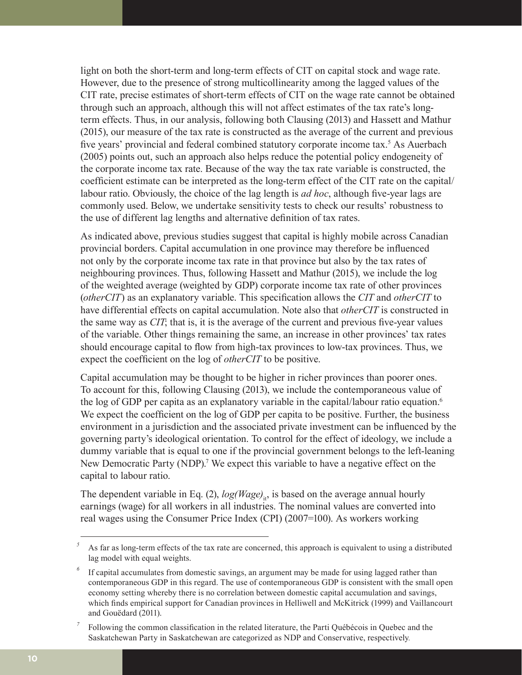light on both the short-term and long-term effects of CIT on capital stock and wage rate. However, due to the presence of strong multicollinearity among the lagged values of the CIT rate, precise estimates of short-term effects of CIT on the wage rate cannot be obtained through such an approach, although this will not affect estimates of the tax rate's longterm effects. Thus, in our analysis, following both Clausing (2013) and Hassett and Mathur (2015), our measure of the tax rate is constructed as the average of the current and previous five years' provincial and federal combined statutory corporate income tax.<sup>5</sup> As Auerbach (2005) points out, such an approach also helps reduce the potential policy endogeneity of the corporate income tax rate. Because of the way the tax rate variable is constructed, the coefficient estimate can be interpreted as the long-term effect of the CIT rate on the capital/ labour ratio. Obviously, the choice of the lag length is *ad hoc*, although five-year lags are commonly used. Below, we undertake sensitivity tests to check our results' robustness to the use of different lag lengths and alternative definition of tax rates.

As indicated above, previous studies suggest that capital is highly mobile across Canadian provincial borders. Capital accumulation in one province may therefore be influenced not only by the corporate income tax rate in that province but also by the tax rates of neighbouring provinces. Thus, following Hassett and Mathur (2015), we include the log of the weighted average (weighted by GDP) corporate income tax rate of other provinces (*otherCIT*) as an explanatory variable. This specification allows the *CIT* and *otherCIT* to have differential effects on capital accumulation. Note also that *otherCIT* is constructed in the same way as *CIT*; that is, it is the average of the current and previous five-year values of the variable. Other things remaining the same, an increase in other provinces' tax rates should encourage capital to flow from high-tax provinces to low-tax provinces. Thus, we expect the coefficient on the log of *otherCIT* to be positive.

Capital accumulation may be thought to be higher in richer provinces than poorer ones. To account for this, following Clausing (2013), we include the contemporaneous value of the log of GDP per capita as an explanatory variable in the capital/labour ratio equation.<sup>6</sup> We expect the coefficient on the log of GDP per capita to be positive. Further, the business environment in a jurisdiction and the associated private investment can be influenced by the governing party's ideological orientation. To control for the effect of ideology, we include a dummy variable that is equal to one if the provincial government belongs to the left-leaning New Democratic Party (NDP).<sup>7</sup> We expect this variable to have a negative effect on the capital to labour ratio.

The dependent variable in Eq. (2),  $log(Wage)_{ii}$ , is based on the average annual hourly earnings (wage) for all workers in all industries. The nominal values are converted into real wages using the Consumer Price Index (CPI) (2007=100). As workers working

*<sup>5</sup>* As far as long-term effects of the tax rate are concerned, this approach is equivalent to using a distributed lag model with equal weights.

If capital accumulates from domestic savings, an argument may be made for using lagged rather than contemporaneous GDP in this regard. The use of contemporaneous GDP is consistent with the small open economy setting whereby there is no correlation between domestic capital accumulation and savings, which finds empirical support for Canadian provinces in Helliwell and McKitrick (1999) and Vaillancourt and Gouëdard (2011).

*<sup>7</sup>* Following the common classification in the related literature, the Parti Québécois in Quebec and the Saskatchewan Party in Saskatchewan are categorized as NDP and Conservative, respectively.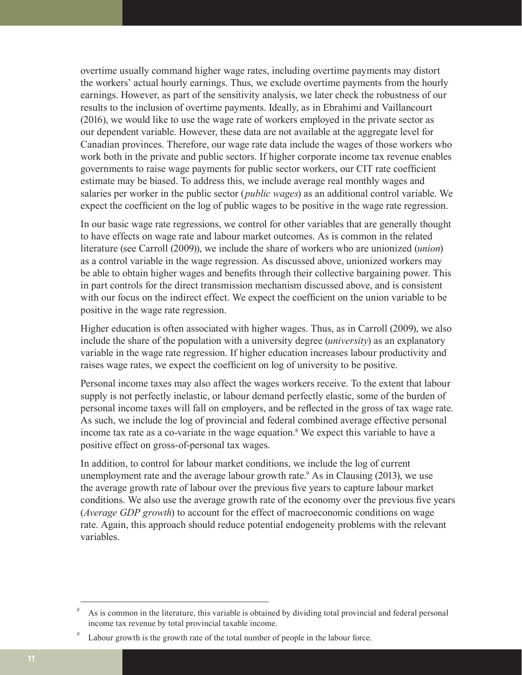overtime usually command higher wage rates, including overtime payments may distort the workers' actual hourly earnings. Thus, we exclude overtime payments from the hourly earnings. However, as part of the sensitivity analysis, we later check the robustness of our results to the inclusion of overtime payments. Ideally, as in Ebrahimi and Vaillancourt (2016), we would like to use the wage rate of workers employed in the private sector as our dependent variable. However, these data are not available at the aggregate level for Canadian provinces. Therefore, our wage rate data include the wages of those workers who work both in the private and public sectors. If higher corporate income tax revenue enables governments to raise wage payments for public sector workers, our CIT rate coefficient estimate may be biased. To address this, we include average real monthly wages and salaries per worker in the public sector (*public wages*) as an additional control variable. We expect the coefficient on the log of public wages to be positive in the wage rate regression.

In our basic wage rate regressions, we control for other variables that are generally thought to have effects on wage rate and labour market outcomes. As is common in the related literature (see Carroll (2009)), we include the share of workers who are unionized (*union*) as a control variable in the wage regression. As discussed above, unionized workers may be able to obtain higher wages and benefits through their collective bargaining power. This in part controls for the direct transmission mechanism discussed above, and is consistent with our focus on the indirect effect. We expect the coefficient on the union variable to be positive in the wage rate regression.

Higher education is often associated with higher wages. Thus, as in Carroll (2009), we also include the share of the population with a university degree (*university*) as an explanatory variable in the wage rate regression. If higher education increases labour productivity and raises wage rates, we expect the coefficient on log of university to be positive.

Personal income taxes may also affect the wages workers receive. To the extent that labour supply is not perfectly inelastic, or labour demand perfectly elastic, some of the burden of personal income taxes will fall on employers, and be reflected in the gross of tax wage rate. As such, we include the log of provincial and federal combined average effective personal income tax rate as a co-variate in the wage equation.<sup>8</sup> We expect this variable to have a positive effect on gross-of-personal tax wages.

In addition, to control for labour market conditions, we include the log of current unemployment rate and the average labour growth rate.<sup>9</sup> As in Clausing  $(2013)$ , we use the average growth rate of labour over the previous five years to capture labour market conditions. We also use the average growth rate of the economy over the previous five years (*Average GDP growth*) to account for the effect of macroeconomic conditions on wage rate. Again, this approach should reduce potential endogeneity problems with the relevant variables.

*<sup>8</sup>* As is common in the literature, this variable is obtained by dividing total provincial and federal personal income tax revenue by total provincial taxable income.

Labour growth is the growth rate of the total number of people in the labour force.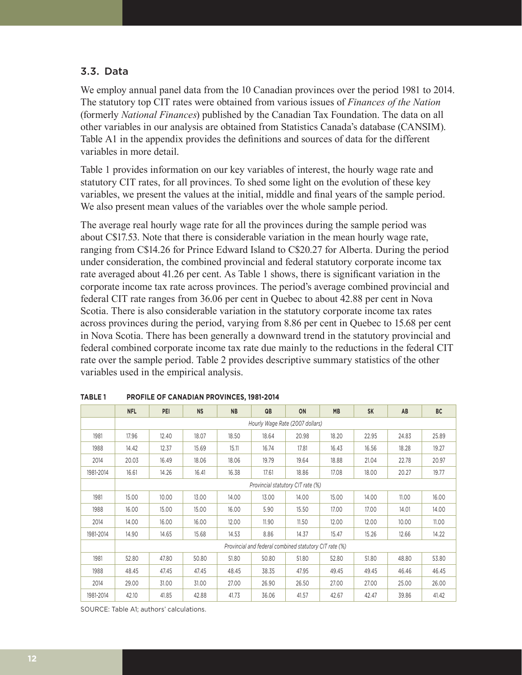# 3.3. Data

We employ annual panel data from the 10 Canadian provinces over the period 1981 to 2014. The statutory top CIT rates were obtained from various issues of *Finances of the Nation* (formerly *National Finances*) published by the Canadian Tax Foundation. The data on all other variables in our analysis are obtained from Statistics Canada's database (CANSIM). Table A1 in the appendix provides the definitions and sources of data for the different variables in more detail.

Table 1 provides information on our key variables of interest, the hourly wage rate and statutory CIT rates, for all provinces. To shed some light on the evolution of these key variables, we present the values at the initial, middle and final years of the sample period. We also present mean values of the variables over the whole sample period.

The average real hourly wage rate for all the provinces during the sample period was about C\$17.53. Note that there is considerable variation in the mean hourly wage rate, ranging from C\$14.26 for Prince Edward Island to C\$20.27 for Alberta. During the period under consideration, the combined provincial and federal statutory corporate income tax rate averaged about 41.26 per cent. As Table 1 shows, there is significant variation in the corporate income tax rate across provinces. The period's average combined provincial and federal CIT rate ranges from 36.06 per cent in Quebec to about 42.88 per cent in Nova Scotia. There is also considerable variation in the statutory corporate income tax rates across provinces during the period, varying from 8.86 per cent in Quebec to 15.68 per cent in Nova Scotia. There has been generally a downward trend in the statutory provincial and federal combined corporate income tax rate due mainly to the reductions in the federal CIT rate over the sample period. Table 2 provides descriptive summary statistics of the other variables used in the empirical analysis.

|           | <b>NFL</b>                        | PEI                                                    | <b>NS</b> | <b>NB</b> | QB                              | <b>ON</b> | <b>MB</b> | <b>SK</b> | AB    | <b>BC</b> |
|-----------|-----------------------------------|--------------------------------------------------------|-----------|-----------|---------------------------------|-----------|-----------|-----------|-------|-----------|
|           |                                   |                                                        |           |           | Hourly Wage Rate (2007 dollars) |           |           |           |       |           |
| 1981      | 17.96                             | 12.40                                                  | 18.07     | 18.50     | 18.64                           | 20.98     | 18.20     | 22.95     | 24.83 | 25.89     |
| 1988      | 14.42                             | 12.37                                                  | 15.69     | 15.11     | 16.74                           | 17.81     | 16.43     | 16.56     | 18.28 | 19.27     |
| 2014      | 20.03                             | 16.49                                                  | 18.06     | 18.06     | 19.79                           | 19.64     | 18.88     | 21.04     | 22.78 | 20.97     |
| 1981-2014 | 16.61                             | 14.26                                                  | 16.41     | 16.38     | 17.61                           | 18.86     | 17.08     | 18.00     | 20.27 | 19.77     |
|           | Provincial statutory CIT rate (%) |                                                        |           |           |                                 |           |           |           |       |           |
| 1981      | 15.00                             | 10.00                                                  | 13.00     | 14.00     | 13.00                           | 14.00     | 15.00     | 14.00     | 11.00 | 16.00     |
| 1988      | 16.00                             | 15.00                                                  | 15.00     | 16.00     | 5.90                            | 15.50     | 17.00     | 17.00     | 14.01 | 14.00     |
| 2014      | 14.00                             | 16.00                                                  | 16.00     | 12.00     | 11.90                           | 11.50     | 12.00     | 12.00     | 10.00 | 11.00     |
| 1981-2014 | 14.90                             | 14.65                                                  | 15.68     | 14.53     | 8.86                            | 14.37     | 15.47     | 15.26     | 12.66 | 14.22     |
|           |                                   | Provincial and federal combined statutory CIT rate (%) |           |           |                                 |           |           |           |       |           |
| 1981      | 52.80                             | 47.80                                                  | 50.80     | 51.80     | 50.80                           | 51.80     | 52.80     | 51.80     | 48.80 | 53.80     |
| 1988      | 48.45                             | 47.45                                                  | 47.45     | 48.45     | 38.35                           | 47.95     | 49.45     | 49.45     | 46.46 | 46.45     |
| 2014      | 29.00                             | 31.00                                                  | 31.00     | 27.00     | 26.90                           | 26.50     | 27.00     | 27.00     | 25.00 | 26.00     |
| 1981-2014 | 42.10                             | 41.85                                                  | 42.88     | 41.73     | 36.06                           | 41.57     | 42.67     | 42.47     | 39.86 | 41.42     |

| TABLE 1 | <b>PROFILE OF CANADIAN PROVINCES, 1981-2014</b> |
|---------|-------------------------------------------------|
|         |                                                 |

SOURCE: Table A1; authors' calculations.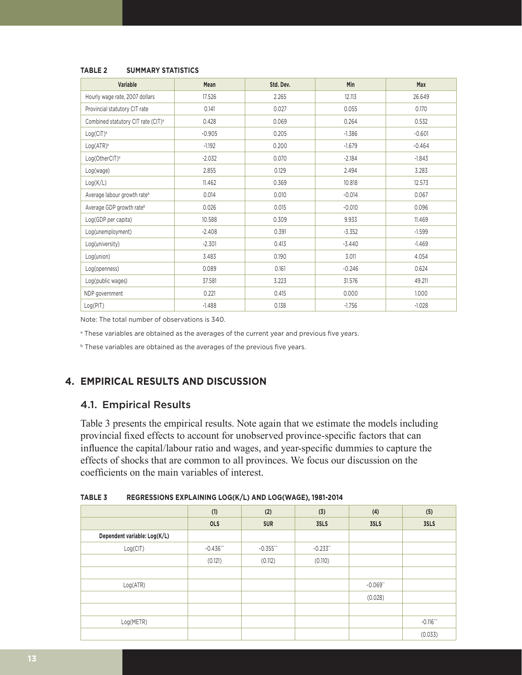| Variable                                       | Mean     | Std. Dev. | Min      | Max      |
|------------------------------------------------|----------|-----------|----------|----------|
| Hourly wage rate, 2007 dollars                 | 17.526   | 2.265     | 12.113   | 26.649   |
| Provincial statutory CIT rate                  | 0.141    | 0.027     | 0.055    | 0.170    |
| Combined statutory CIT rate (CIT) <sup>a</sup> | 0.428    | 0.069     | 0.264    | 0.532    |
| $Log(CIT)^a$                                   | $-0.905$ | 0.205     | $-1.386$ | $-0.601$ |
| $Log(ATR)^a$                                   | $-1.192$ | 0.200     | $-1.679$ | $-0.464$ |
| Log(OtherCIT) <sup>a</sup>                     | $-2.032$ | 0.070     | $-2.184$ | $-1.843$ |
| Log(wage)                                      | 2.855    | 0.129     | 2.494    | 3.283    |
| Log(K/L)                                       | 11.462   | 0.369     | 10.818   | 12.573   |
| Average labour growth rate <sup>b</sup>        | 0.014    | 0.010     | $-0.014$ | 0.067    |
| Average GDP growth rate <sup>b</sup>           | 0.026    | 0.015     | $-0.010$ | 0.096    |
| Log(GDP per capita)                            | 10.588   | 0.309     | 9.933    | 11.469   |
| Log(unemployment)                              | $-2.408$ | 0.391     | $-3.352$ | $-1.599$ |
| Log(university)                                | $-2.301$ | 0.413     | $-3.440$ | $-1.469$ |
| Log(union)                                     | 3.483    | 0.190     | 3.011    | 4.054    |
| Log(openness)                                  | 0.089    | 0.161     | $-0.246$ | 0.624    |
| Log(public wages)                              | 37.581   | 3.223     | 31.576   | 49.211   |
| NDP government                                 | 0.221    | 0.415     | 0.000    | 1.000    |
| Log(PIT)                                       | $-1.488$ | 0.138     | $-1.756$ | $-1.028$ |

#### **TABLE 2 SUMMARY STATISTICS**

Note: The total number of observations is 340.

a These variables are obtained as the averages of the current year and previous five years.

**b** These variables are obtained as the averages of the previous five years.

# **4. EMPIRICAL RESULTS AND DISCUSSION**

# 4.1. Empirical Results

Table 3 presents the empirical results. Note again that we estimate the models including provincial fixed effects to account for unobserved province-specific factors that can influence the capital/labour ratio and wages, and year-specific dummies to capture the effects of shocks that are common to all provinces. We focus our discussion on the coefficients on the main variables of interest.

|                              | (1)        | (2)        | (3)       | (4)       | (5)      |
|------------------------------|------------|------------|-----------|-----------|----------|
|                              | <b>OLS</b> | <b>SUR</b> | 3SLS      | 3SLS      | 3SLS     |
| Dependent variable: Log(K/L) |            |            |           |           |          |
| Log(CIT)                     | $-0.436$ " | $-0.355$ " | $-0.233"$ |           |          |
|                              | (0.121)    | (0.112)    | (0.110)   |           |          |
|                              |            |            |           |           |          |
| Log(ATR)                     |            |            |           | $-0.069"$ |          |
|                              |            |            |           | (0.028)   |          |
|                              |            |            |           |           |          |
| Log(METR)                    |            |            |           |           | $-0.116$ |
|                              |            |            |           |           | (0.033)  |

#### **TABLE 3 REGRESSIONS EXPLAINING LOG(K/L) AND LOG(WAGE), 1981-2014**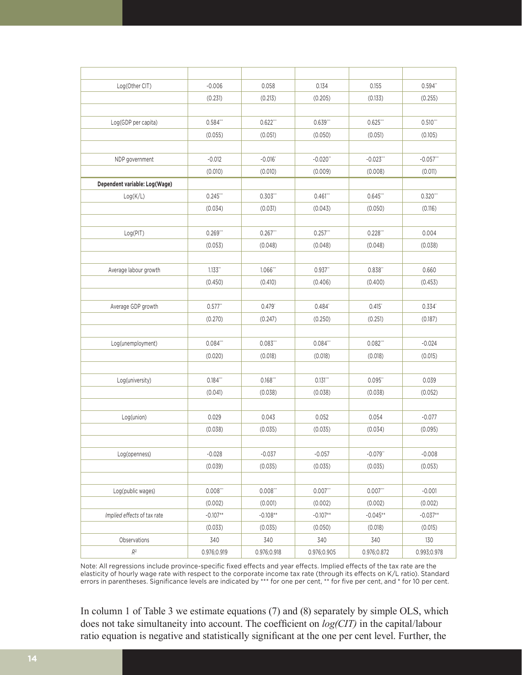| Log(Other CIT)                | $-0.006$    | 0.058       | 0.134       | 0.155        | 0.594"      |
|-------------------------------|-------------|-------------|-------------|--------------|-------------|
|                               | (0.231)     | (0.213)     | (0.205)     | (0.133)      | (0.255)     |
|                               |             |             |             |              |             |
| Log(GDP per capita)           | $0.584$ "   | $0.622$ "   | $0.639$ "   | $0.625$ "    | $0.510$ "   |
|                               | (0.055)     | (0.051)     | (0.050)     | (0.051)      | (0.105)     |
|                               |             |             |             |              |             |
| NDP government                | $-0.012$    | $-0.016$    | $-0.020$ "  | $-0.023$ *** | $-0.057$ "  |
|                               | (0.010)     | (0.010)     | (0.009)     | (0.008)      | (0.011)     |
| Dependent variable: Log(Wage) |             |             |             |              |             |
| Log(K/L)                      | $0.245$ "   | $0.303$ "   | $0.461$ "   | 0.645'''     | $0.320$ "   |
|                               | (0.034)     | (0.031)     | (0.043)     | (0.050)      | (0.116)     |
|                               |             |             |             |              |             |
| Log(PIT)                      | $0.269$ "   | $0.267$ "   | $0.257$ "   | $0.228$ "    | 0.004       |
|                               | (0.053)     | (0.048)     | (0.048)     | (0.048)      | (0.038)     |
|                               |             |             |             |              |             |
| Average labour growth         | 1.133       | 1.066"      | 0.937"      | 0.838"       | 0.660       |
|                               | (0.450)     | (0.410)     | (0.406)     | (0.400)      | (0.453)     |
|                               |             |             |             |              |             |
| Average GDP growth            | 0.577"      | 0.479'      | 0.484       | 0.415'       | 0.334       |
|                               | (0.270)     | (0.247)     | (0.250)     | (0.251)      | (0.187)     |
|                               |             |             |             |              |             |
| Log(unemployment)             | $0.084$ "   | $0.083$ *** | $0.084$ "   | $0.082$ "    | $-0.024$    |
|                               | (0.020)     | (0.018)     | (0.018)     | (0.018)      | (0.015)     |
|                               |             |             |             |              |             |
| Log(university)               | $0.184$ "   | $0.168$ "   | $0.131$ "   | 0.095"       | 0.039       |
|                               | (0.041)     | (0.038)     | (0.038)     | (0.038)      | (0.052)     |
|                               |             |             |             |              |             |
| Log(union)                    | 0.029       | 0.043       | 0.052       | 0.054        | $-0.077$    |
|                               | (0.038)     | (0.035)     | (0.035)     | (0.034)      | (0.095)     |
|                               |             |             |             |              |             |
| Log(openness)                 | $-0.028$    | $-0.037$    | $-0.057$    | $-0.079$ "   | $-0.008$    |
|                               | (0.039)     | (0.035)     | (0.035)     | (0.035)      | (0.053)     |
|                               |             |             |             |              |             |
| Log(public wages)             | $0.008$ ""  | $0.008$ "   | $0.007$ **  | $0.007$ "    | $-0.001$    |
|                               | (0.002)     | (0.001)     | (0.002)     | (0.002)      | (0.002)     |
| Implied effects of tax rate   | $-0.107**$  | $-0.108**$  | $-0.107**$  | $-0.045**$   | $-0.037**$  |
|                               | (0.033)     | (0.035)     | (0.050)     | (0.018)      | (0.015)     |
| Observations                  | 340         | 340         | 340         | 340          | 130         |
| $\mathbb{R}^2$                | 0.976;0.919 | 0.976;0.918 | 0.976;0.905 | 0.976;0.872  | 0.993;0.978 |
|                               |             |             |             |              |             |

Note: All regressions include province-specific fixed effects and year effects. Implied effects of the tax rate are the elasticity of hourly wage rate with respect to the corporate income tax rate (through its effects on K/L ratio). Standard errors in parentheses. Significance levels are indicated by \*\*\* for one per cent, \*\* for five per cent, and \* for 10 per cent.

In column 1 of Table 3 we estimate equations (7) and (8) separately by simple OLS, which does not take simultaneity into account. The coefficient on *log(CIT)* in the capital/labour ratio equation is negative and statistically significant at the one per cent level. Further, the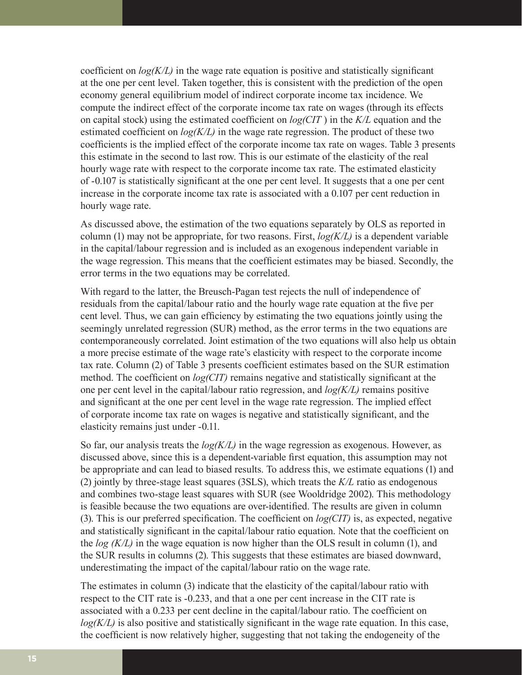coefficient on *log(K/L)* in the wage rate equation is positive and statistically significant at the one per cent level. Taken together, this is consistent with the prediction of the open economy general equilibrium model of indirect corporate income tax incidence. We compute the indirect effect of the corporate income tax rate on wages (through its effects on capital stock) using the estimated coefficient on *log(CIT* ) in the *K/L* equation and the estimated coefficient on  $log(K/L)$  in the wage rate regression. The product of these two coefficients is the implied effect of the corporate income tax rate on wages. Table 3 presents this estimate in the second to last row. This is our estimate of the elasticity of the real hourly wage rate with respect to the corporate income tax rate. The estimated elasticity of -0.107 is statistically significant at the one per cent level. It suggests that a one per cent increase in the corporate income tax rate is associated with a 0.107 per cent reduction in hourly wage rate.

As discussed above, the estimation of the two equations separately by OLS as reported in column (1) may not be appropriate, for two reasons. First, *log(K/L)* is a dependent variable in the capital/labour regression and is included as an exogenous independent variable in the wage regression. This means that the coefficient estimates may be biased. Secondly, the error terms in the two equations may be correlated.

With regard to the latter, the Breusch-Pagan test rejects the null of independence of residuals from the capital/labour ratio and the hourly wage rate equation at the five per cent level. Thus, we can gain efficiency by estimating the two equations jointly using the seemingly unrelated regression (SUR) method, as the error terms in the two equations are contemporaneously correlated. Joint estimation of the two equations will also help us obtain a more precise estimate of the wage rate's elasticity with respect to the corporate income tax rate. Column (2) of Table 3 presents coefficient estimates based on the SUR estimation method. The coefficient on *log(CIT)* remains negative and statistically significant at the one per cent level in the capital/labour ratio regression, and *log(K/L)* remains positive and significant at the one per cent level in the wage rate regression. The implied effect of corporate income tax rate on wages is negative and statistically significant, and the elasticity remains just under -0.11.

So far, our analysis treats the *log(K/L)* in the wage regression as exogenous. However, as discussed above, since this is a dependent-variable first equation, this assumption may not be appropriate and can lead to biased results. To address this, we estimate equations (1) and (2) jointly by three-stage least squares (3SLS), which treats the *K/L* ratio as endogenous and combines two-stage least squares with SUR (see Wooldridge 2002). This methodology is feasible because the two equations are over-identified. The results are given in column (3). This is our preferred specification. The coefficient on *log(CIT)* is, as expected, negative and statistically significant in the capital/labour ratio equation. Note that the coefficient on the *log (K/L)* in the wage equation is now higher than the OLS result in column (1), and the SUR results in columns (2). This suggests that these estimates are biased downward, underestimating the impact of the capital/labour ratio on the wage rate.

The estimates in column (3) indicate that the elasticity of the capital/labour ratio with respect to the CIT rate is -0.233, and that a one per cent increase in the CIT rate is associated with a 0.233 per cent decline in the capital/labour ratio. The coefficient on *log(K/L)* is also positive and statistically significant in the wage rate equation. In this case, the coefficient is now relatively higher, suggesting that not taking the endogeneity of the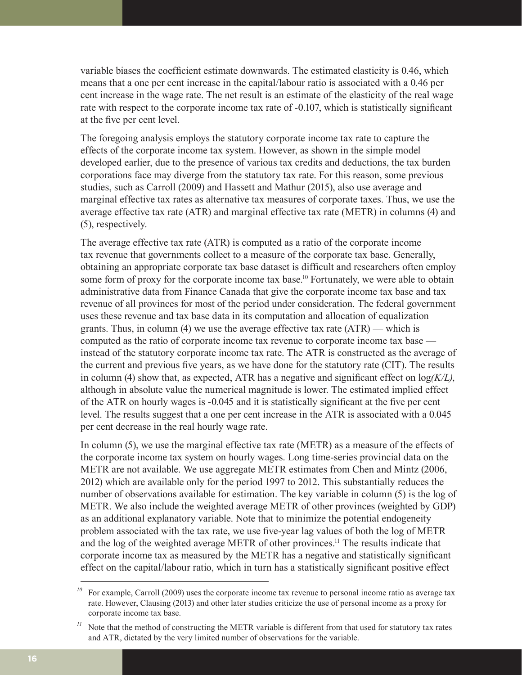variable biases the coefficient estimate downwards. The estimated elasticity is 0.46, which means that a one per cent increase in the capital/labour ratio is associated with a 0.46 per cent increase in the wage rate. The net result is an estimate of the elasticity of the real wage rate with respect to the corporate income tax rate of -0.107, which is statistically significant at the five per cent level.

The foregoing analysis employs the statutory corporate income tax rate to capture the effects of the corporate income tax system. However, as shown in the simple model developed earlier, due to the presence of various tax credits and deductions, the tax burden corporations face may diverge from the statutory tax rate. For this reason, some previous studies, such as Carroll (2009) and Hassett and Mathur (2015), also use average and marginal effective tax rates as alternative tax measures of corporate taxes. Thus, we use the average effective tax rate (ATR) and marginal effective tax rate (METR) in columns (4) and (5), respectively.

The average effective tax rate (ATR) is computed as a ratio of the corporate income tax revenue that governments collect to a measure of the corporate tax base. Generally, obtaining an appropriate corporate tax base dataset is difficult and researchers often employ some form of proxy for the corporate income tax base.<sup>10</sup> Fortunately, we were able to obtain administrative data from Finance Canada that give the corporate income tax base and tax revenue of all provinces for most of the period under consideration. The federal government uses these revenue and tax base data in its computation and allocation of equalization grants. Thus, in column (4) we use the average effective tax rate  $(ATR)$  — which is computed as the ratio of corporate income tax revenue to corporate income tax base instead of the statutory corporate income tax rate. The ATR is constructed as the average of the current and previous five years, as we have done for the statutory rate (CIT). The results in column (4) show that, as expected, ATR has a negative and significant effect on log*(K/L)*, although in absolute value the numerical magnitude is lower. The estimated implied effect of the ATR on hourly wages is -0.045 and it is statistically significant at the five per cent level. The results suggest that a one per cent increase in the ATR is associated with a 0.045 per cent decrease in the real hourly wage rate.

In column (5), we use the marginal effective tax rate (METR) as a measure of the effects of the corporate income tax system on hourly wages. Long time-series provincial data on the METR are not available. We use aggregate METR estimates from Chen and Mintz (2006, 2012) which are available only for the period 1997 to 2012. This substantially reduces the number of observations available for estimation. The key variable in column (5) is the log of METR. We also include the weighted average METR of other provinces (weighted by GDP) as an additional explanatory variable. Note that to minimize the potential endogeneity problem associated with the tax rate, we use five-year lag values of both the log of METR and the log of the weighted average METR of other provinces.11 The results indicate that corporate income tax as measured by the METR has a negative and statistically significant effect on the capital/labour ratio, which in turn has a statistically significant positive effect

For example, Carroll (2009) uses the corporate income tax revenue to personal income ratio as average tax rate. However, Clausing (2013) and other later studies criticize the use of personal income as a proxy for corporate income tax base.

Note that the method of constructing the METR variable is different from that used for statutory tax rates and ATR, dictated by the very limited number of observations for the variable.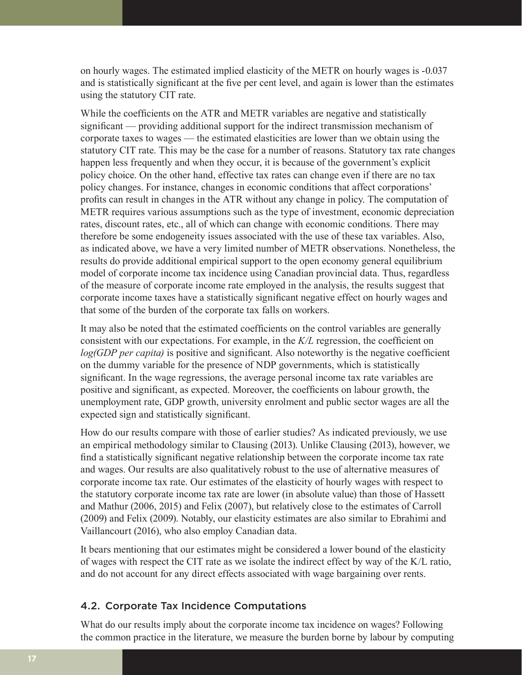on hourly wages. The estimated implied elasticity of the METR on hourly wages is -0.037 and is statistically significant at the five per cent level, and again is lower than the estimates using the statutory CIT rate.

While the coefficients on the ATR and METR variables are negative and statistically significant — providing additional support for the indirect transmission mechanism of corporate taxes to wages — the estimated elasticities are lower than we obtain using the statutory CIT rate. This may be the case for a number of reasons. Statutory tax rate changes happen less frequently and when they occur, it is because of the government's explicit policy choice. On the other hand, effective tax rates can change even if there are no tax policy changes. For instance, changes in economic conditions that affect corporations' profits can result in changes in the ATR without any change in policy. The computation of METR requires various assumptions such as the type of investment, economic depreciation rates, discount rates, etc., all of which can change with economic conditions. There may therefore be some endogeneity issues associated with the use of these tax variables. Also, as indicated above, we have a very limited number of METR observations. Nonetheless, the results do provide additional empirical support to the open economy general equilibrium model of corporate income tax incidence using Canadian provincial data. Thus, regardless of the measure of corporate income rate employed in the analysis, the results suggest that corporate income taxes have a statistically significant negative effect on hourly wages and that some of the burden of the corporate tax falls on workers.

It may also be noted that the estimated coefficients on the control variables are generally consistent with our expectations. For example, in the *K/L* regression, the coefficient on *log(GDP per capita)* is positive and significant. Also noteworthy is the negative coefficient on the dummy variable for the presence of NDP governments, which is statistically significant. In the wage regressions, the average personal income tax rate variables are positive and significant, as expected. Moreover, the coefficients on labour growth, the unemployment rate, GDP growth, university enrolment and public sector wages are all the expected sign and statistically significant.

How do our results compare with those of earlier studies? As indicated previously, we use an empirical methodology similar to Clausing (2013). Unlike Clausing (2013), however, we find a statistically significant negative relationship between the corporate income tax rate and wages. Our results are also qualitatively robust to the use of alternative measures of corporate income tax rate. Our estimates of the elasticity of hourly wages with respect to the statutory corporate income tax rate are lower (in absolute value) than those of Hassett and Mathur (2006, 2015) and Felix (2007), but relatively close to the estimates of Carroll (2009) and Felix (2009). Notably, our elasticity estimates are also similar to Ebrahimi and Vaillancourt (2016), who also employ Canadian data.

It bears mentioning that our estimates might be considered a lower bound of the elasticity of wages with respect the CIT rate as we isolate the indirect effect by way of the K/L ratio, and do not account for any direct effects associated with wage bargaining over rents.

# 4.2. Corporate Tax Incidence Computations

What do our results imply about the corporate income tax incidence on wages? Following the common practice in the literature, we measure the burden borne by labour by computing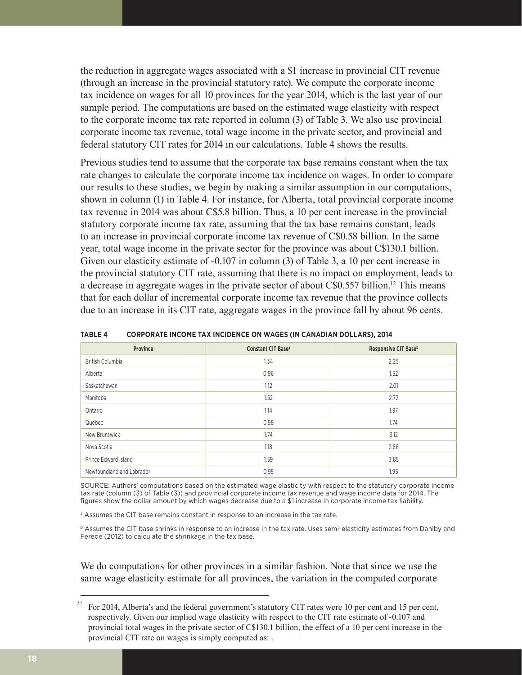the reduction in aggregate wages associated with a \$1 increase in provincial CIT revenue (through an increase in the provincial statutory rate). We compute the corporate income tax incidence on wages for all 10 provinces for the year 2014, which is the last year of our sample period. The computations are based on the estimated wage elasticity with respect to the corporate income tax rate reported in column (3) of Table 3. We also use provincial corporate income tax revenue, total wage income in the private sector, and provincial and federal statutory CIT rates for 2014 in our calculations. Table 4 shows the results.

Previous studies tend to assume that the corporate tax base remains constant when the tax rate changes to calculate the corporate income tax incidence on wages. In order to compare our results to these studies, we begin by making a similar assumption in our computations, shown in column (1) in Table 4. For instance, for Alberta, total provincial corporate income tax revenue in 2014 was about C\$5.8 billion. Thus, a 10 per cent increase in the provincial statutory corporate income tax rate, assuming that the tax base remains constant, leads to an increase in provincial corporate income tax revenue of C\$0.58 billion. In the same year, total wage income in the private sector for the province was about C\$130.1 billion. Given our elasticity estimate of -0.107 in column (3) of Table 3, a 10 per cent increase in the provincial statutory CIT rate, assuming that there is no impact on employment, leads to a decrease in aggregate wages in the private sector of about C\$0.557 billion.<sup>12</sup> This means that for each dollar of incremental corporate income tax revenue that the province collects due to an increase in its CIT rate, aggregate wages in the province fall by about 96 cents.

| Province                  | <b>Constant CIT Base</b> <sup>a</sup> | Responsive CIT Baseb |
|---------------------------|---------------------------------------|----------------------|
| <b>British Columbia</b>   | 1.34                                  | 2.25                 |
| Alberta                   | 0.96                                  | 1.52                 |
| Saskatchewan              | 1.12                                  | 2.01                 |
| Manitoba                  | 1.52                                  | 2.72                 |
| Ontario                   | 1.14                                  | 1.97                 |
| Quebec                    | 0.98                                  | 1.74                 |
| New Brunswick             | 1.74                                  | 3.12                 |
| Nova Scotia               | 1.18                                  | 2.86                 |
| Prince Edward Island      | 1.59                                  | 3.85                 |
| Newfoundland and Labrador | 0.95                                  | 1.95                 |

#### **TABLE 4 CORPORATE INCOME TAX INCIDENCE ON WAGES (IN CANADIAN DOLLARS), 2014**

SOURCE: Authors' computations based on the estimated wage elasticity with respect to the statutory corporate income tax rate (column (3) of Table (3)) and provincial corporate income tax revenue and wage income data for 2014. The figures show the dollar amount by which wages decrease due to a \$1 increase in corporate income tax liability.

a Assumes the CIT base remains constant in response to an increase in the tax rate.

**b** Assumes the CIT base shrinks in response to an increase in the tax rate. Uses semi-elasticity estimates from Dahlby and Ferede (2012) to calculate the shrinkage in the tax base.

We do computations for other provinces in a similar fashion. Note that since we use the same wage elasticity estimate for all provinces, the variation in the computed corporate

For 2014, Alberta's and the federal government's statutory CIT rates were 10 per cent and 15 per cent, respectively. Given our implied wage elasticity with respect to the CIT rate estimate of -0.107 and provincial total wages in the private sector of C\$130.1 billion, the effect of a 10 per cent increase in the provincial CIT rate on wages is simply computed as: .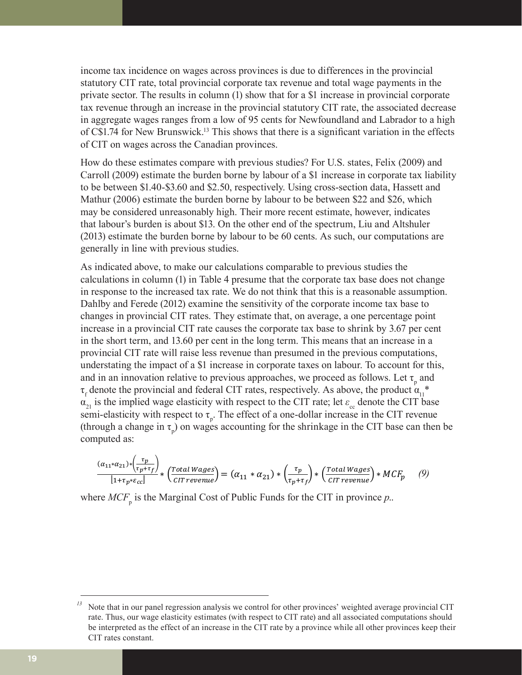income tax incidence on wages across provinces is due to differences in the provincial statutory CIT rate, total provincial corporate tax revenue and total wage payments in the private sector. The results in column (1) show that for a \$1 increase in provincial corporate tax revenue through an increase in the provincial statutory CIT rate, the associated decrease in aggregate wages ranges from a low of 95 cents for Newfoundland and Labrador to a high of C\$1.74 for New Brunswick.13 This shows that there is a significant variation in the effects of CIT on wages across the Canadian provinces.

How do these estimates compare with previous studies? For U.S. states, Felix (2009) and Carroll (2009) estimate the burden borne by labour of a \$1 increase in corporate tax liability to be between \$1.40-\$3.60 and \$2.50, respectively. Using cross-section data, Hassett and Mathur (2006) estimate the burden borne by labour to be between \$22 and \$26, which may be considered unreasonably high. Their more recent estimate, however, indicates that labour's burden is about \$13. On the other end of the spectrum, Liu and Altshuler (2013) estimate the burden borne by labour to be 60 cents. As such, our computations are generally in line with previous studies.

As indicated above, to make our calculations comparable to previous studies the calculations in column (1) in Table 4 presume that the corporate tax base does not change in response to the increased tax rate. We do not think that this is a reasonable assumption. Dahlby and Ferede (2012) examine the sensitivity of the corporate income tax base to changes in provincial CIT rates. They estimate that, on average, a one percentage point increase in a provincial CIT rate causes the corporate tax base to shrink by 3.67 per cent in the short term, and 13.60 per cent in the long term. This means that an increase in a provincial CIT rate will raise less revenue than presumed in the previous computations, understating the impact of a \$1 increase in corporate taxes on labour. To account for this, and in an innovation relative to previous approaches, we proceed as follows. Let  $\tau_{p}$  and  $\tau_f$  denote the provincial and federal CIT rates, respectively. As above, the product  $\alpha_{11}^*$  $\alpha_{21}$  is the implied wage elasticity with respect to the CIT rate; let  $\varepsilon_{cc}$  denote the CIT base semi-elasticity with respect to  $\tau_p$ . The effect of a one-dollar increase in the CIT revenue (through a change in  $\tau_p$ ) on wages accounting for the shrinkage in the CIT base can then be computed as:

$$
\frac{(\alpha_{11} * \alpha_{21}) * \left(\frac{\tau_p}{\tau_p + \tau_f}\right)}{1 + \tau_p * \varepsilon_{cc}} * \left(\frac{\text{Total wages}}{\text{CIT revenue}}\right) = (\alpha_{11} * \alpha_{21}) * \left(\frac{\tau_p}{\tau_p + \tau_f}\right) * \left(\frac{\text{Total wages}}{\text{CIT revenue}}\right) * MCF_p \tag{9}
$$

where  $MCF$ <sub>p</sub> is the Marginal Cost of Public Funds for the CIT in province p...

*<sup>13</sup>* Note that in our panel regression analysis we control for other provinces' weighted average provincial CIT rate. Thus, our wage elasticity estimates (with respect to CIT rate) and all associated computations should be interpreted as the effect of an increase in the CIT rate by a province while all other provinces keep their CIT rates constant.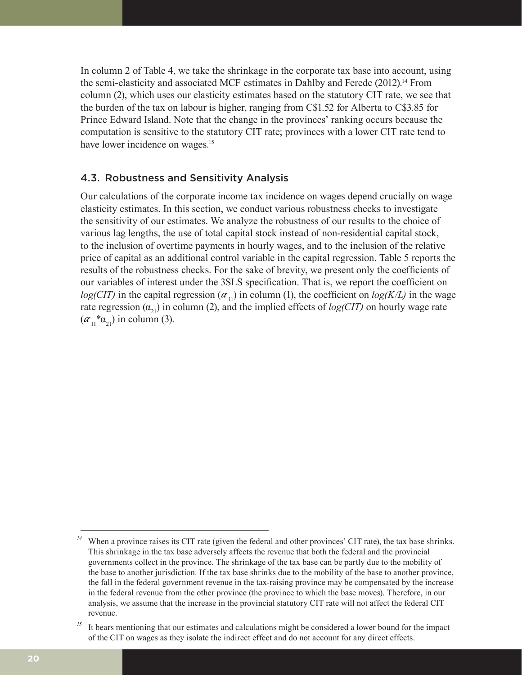In column 2 of Table 4, we take the shrinkage in the corporate tax base into account, using the semi-elasticity and associated MCF estimates in Dahlby and Ferede  $(2012)^{14}$  From column (2), which uses our elasticity estimates based on the statutory CIT rate, we see that the burden of the tax on labour is higher, ranging from C\$1.52 for Alberta to C\$3.85 for Prince Edward Island. Note that the change in the provinces' ranking occurs because the computation is sensitive to the statutory CIT rate; provinces with a lower CIT rate tend to have lower incidence on wages.<sup>15</sup>

# 4.3. Robustness and Sensitivity Analysis

Our calculations of the corporate income tax incidence on wages depend crucially on wage elasticity estimates. In this section, we conduct various robustness checks to investigate the sensitivity of our estimates. We analyze the robustness of our results to the choice of various lag lengths, the use of total capital stock instead of non-residential capital stock, to the inclusion of overtime payments in hourly wages, and to the inclusion of the relative price of capital as an additional control variable in the capital regression. Table 5 reports the results of the robustness checks. For the sake of brevity, we present only the coefficients of our variables of interest under the 3SLS specification. That is, we report the coefficient on  $log(CIT)$  in the capital regression  $(\alpha_{11})$  in column (1), the coefficient on  $log(K/L)$  in the wage rate regression  $(\alpha_{21})$  in column (2), and the implied effects of *log(CIT)* on hourly wage rate  $(\alpha_{11} * \alpha_{21})$  in column (3).

When a province raises its CIT rate (given the federal and other provinces' CIT rate), the tax base shrinks. This shrinkage in the tax base adversely affects the revenue that both the federal and the provincial governments collect in the province. The shrinkage of the tax base can be partly due to the mobility of the base to another jurisdiction. If the tax base shrinks due to the mobility of the base to another province, the fall in the federal government revenue in the tax-raising province may be compensated by the increase in the federal revenue from the other province (the province to which the base moves). Therefore, in our analysis, we assume that the increase in the provincial statutory CIT rate will not affect the federal CIT revenue.

*<sup>15</sup>* It bears mentioning that our estimates and calculations might be considered a lower bound for the impact of the CIT on wages as they isolate the indirect effect and do not account for any direct effects.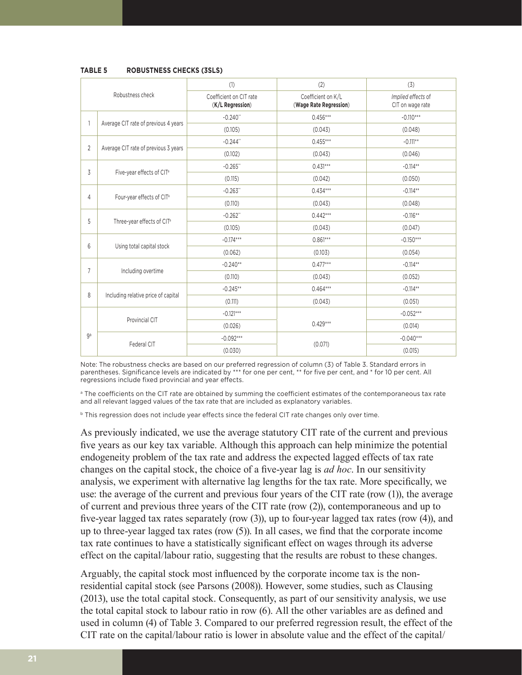| Robustness check |                                        | (1)                                         | (2)                                          | (3)                                    |
|------------------|----------------------------------------|---------------------------------------------|----------------------------------------------|----------------------------------------|
|                  |                                        | Coefficient on CIT rate<br>(K/L Regression) | Coefficient on K/L<br>(Wage Rate Regression) | Implied effects of<br>CIT on wage rate |
|                  |                                        | $-0.240"$                                   | $0.456***$                                   | $-0.110***$                            |
| 1                | Average CIT rate of previous 4 years   | (0.105)                                     | (0.043)                                      | (0.048)                                |
|                  |                                        | $-0.244$ "                                  | $0.455***$                                   | $-0.111***$                            |
| $\overline{2}$   | Average CIT rate of previous 3 years   | (0.102)                                     | (0.043)                                      | (0.046)                                |
|                  |                                        | $-0.265$ "                                  | $0.431***$                                   | $-0.114**$                             |
| 3                | Five-year effects of CIT <sup>®</sup>  | (0.115)                                     | (0.042)                                      | (0.050)                                |
| 4                |                                        | $-0.263"$                                   | $0.434***$                                   | $-0.114**$                             |
|                  | Four-year effects of CIT <sup>a</sup>  | (0.110)                                     | (0.043)                                      | (0.048)                                |
|                  |                                        | $-0.262$                                    | $0.442***$                                   | $-0.116**$                             |
| 5                | Three-year effects of CIT <sup>a</sup> | (0.105)                                     | (0.043)                                      | (0.047)                                |
|                  |                                        | $-0.174***$                                 | $0.861***$                                   | $-0.150***$                            |
| 6                | Using total capital stock              | (0.062)                                     | (0.103)                                      | (0.054)                                |
|                  |                                        | $-0.240**$                                  | $0.477***$                                   | $-0.114**$                             |
| $\overline{7}$   | Including overtime                     | (0.110)                                     | (0.043)                                      | (0.052)                                |
|                  |                                        | $-0.245**$                                  | $0.464***$                                   | $-0.114**$                             |
| 8                | Including relative price of capital    | (0.111)                                     | (0.043)                                      | (0.051)                                |
|                  |                                        | $-0.121***$                                 |                                              | $-0.052***$                            |
|                  | <b>Provincial CIT</b>                  | (0.026)                                     | $0.429***$                                   | (0.014)                                |
| 9 <sup>b</sup>   |                                        | $-0.092***$                                 |                                              | $-0.040***$                            |
|                  | Federal CIT                            | (0.030)                                     | (0.071)                                      | (0.015)                                |

#### **TABLE 5 ROBUSTNESS CHECKS (3SLS)**

Note: The robustness checks are based on our preferred regression of column (3) of Table 3. Standard errors in parentheses. Significance levels are indicated by \*\*\* for one per cent, \*\* for five per cent, and \* for 10 per cent. All regressions include fixed provincial and year effects.

<sup>a</sup> The coefficients on the CIT rate are obtained by summing the coefficient estimates of the contemporaneous tax rate and all relevant lagged values of the tax rate that are included as explanatory variables.

**b** This regression does not include year effects since the federal CIT rate changes only over time.

As previously indicated, we use the average statutory CIT rate of the current and previous five years as our key tax variable. Although this approach can help minimize the potential endogeneity problem of the tax rate and address the expected lagged effects of tax rate changes on the capital stock, the choice of a five-year lag is *ad hoc*. In our sensitivity analysis, we experiment with alternative lag lengths for the tax rate. More specifically, we use: the average of the current and previous four years of the CIT rate (row (1)), the average of current and previous three years of the CIT rate (row (2)), contemporaneous and up to five-year lagged tax rates separately (row (3)), up to four-year lagged tax rates (row (4)), and up to three-year lagged tax rates (row (5)). In all cases, we find that the corporate income tax rate continues to have a statistically significant effect on wages through its adverse effect on the capital/labour ratio, suggesting that the results are robust to these changes.

Arguably, the capital stock most influenced by the corporate income tax is the nonresidential capital stock (see Parsons (2008)). However, some studies, such as Clausing (2013), use the total capital stock. Consequently, as part of our sensitivity analysis, we use the total capital stock to labour ratio in row (6). All the other variables are as defined and used in column (4) of Table 3. Compared to our preferred regression result, the effect of the CIT rate on the capital/labour ratio is lower in absolute value and the effect of the capital/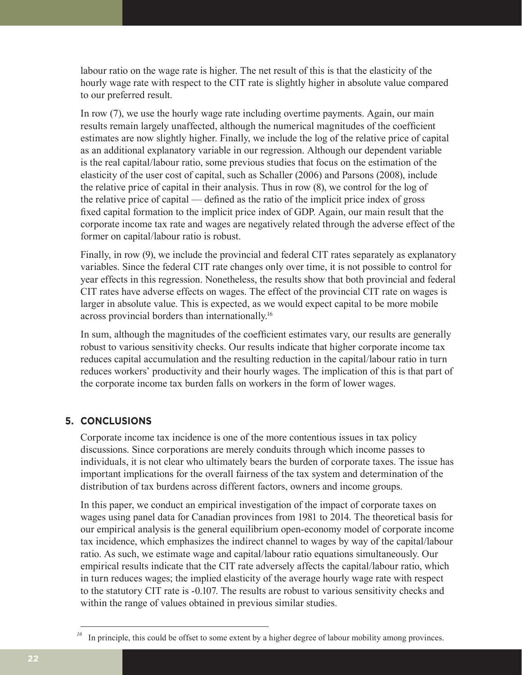labour ratio on the wage rate is higher. The net result of this is that the elasticity of the hourly wage rate with respect to the CIT rate is slightly higher in absolute value compared to our preferred result.

In row (7), we use the hourly wage rate including overtime payments. Again, our main results remain largely unaffected, although the numerical magnitudes of the coefficient estimates are now slightly higher. Finally, we include the log of the relative price of capital as an additional explanatory variable in our regression. Although our dependent variable is the real capital/labour ratio, some previous studies that focus on the estimation of the elasticity of the user cost of capital, such as Schaller (2006) and Parsons (2008), include the relative price of capital in their analysis. Thus in row (8), we control for the log of the relative price of capital — defined as the ratio of the implicit price index of gross fixed capital formation to the implicit price index of GDP. Again, our main result that the corporate income tax rate and wages are negatively related through the adverse effect of the former on capital/labour ratio is robust.

Finally, in row (9), we include the provincial and federal CIT rates separately as explanatory variables. Since the federal CIT rate changes only over time, it is not possible to control for year effects in this regression. Nonetheless, the results show that both provincial and federal CIT rates have adverse effects on wages. The effect of the provincial CIT rate on wages is larger in absolute value. This is expected, as we would expect capital to be more mobile across provincial borders than internationally.16

In sum, although the magnitudes of the coefficient estimates vary, our results are generally robust to various sensitivity checks. Our results indicate that higher corporate income tax reduces capital accumulation and the resulting reduction in the capital/labour ratio in turn reduces workers' productivity and their hourly wages. The implication of this is that part of the corporate income tax burden falls on workers in the form of lower wages.

# **5. CONCLUSIONS**

Corporate income tax incidence is one of the more contentious issues in tax policy discussions. Since corporations are merely conduits through which income passes to individuals, it is not clear who ultimately bears the burden of corporate taxes. The issue has important implications for the overall fairness of the tax system and determination of the distribution of tax burdens across different factors, owners and income groups.

In this paper, we conduct an empirical investigation of the impact of corporate taxes on wages using panel data for Canadian provinces from 1981 to 2014. The theoretical basis for our empirical analysis is the general equilibrium open-economy model of corporate income tax incidence, which emphasizes the indirect channel to wages by way of the capital/labour ratio. As such, we estimate wage and capital/labour ratio equations simultaneously. Our empirical results indicate that the CIT rate adversely affects the capital/labour ratio, which in turn reduces wages; the implied elasticity of the average hourly wage rate with respect to the statutory CIT rate is -0.107. The results are robust to various sensitivity checks and within the range of values obtained in previous similar studies.

In principle, this could be offset to some extent by a higher degree of labour mobility among provinces.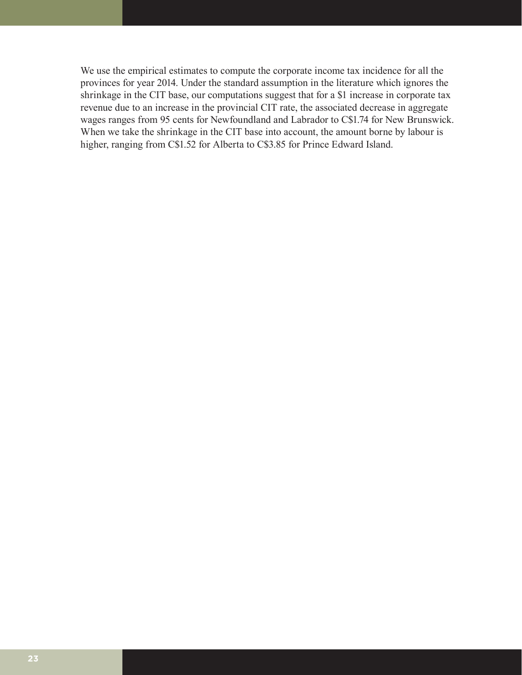We use the empirical estimates to compute the corporate income tax incidence for all the provinces for year 2014. Under the standard assumption in the literature which ignores the shrinkage in the CIT base, our computations suggest that for a \$1 increase in corporate tax revenue due to an increase in the provincial CIT rate, the associated decrease in aggregate wages ranges from 95 cents for Newfoundland and Labrador to C\$1.74 for New Brunswick. When we take the shrinkage in the CIT base into account, the amount borne by labour is higher, ranging from C\$1.52 for Alberta to C\$3.85 for Prince Edward Island.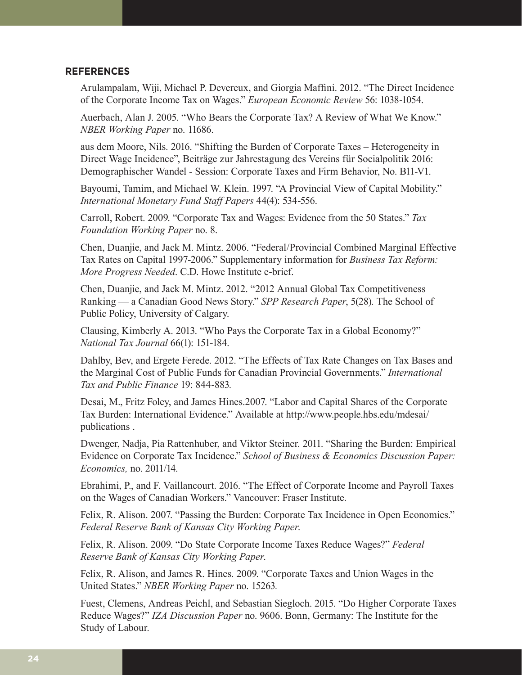#### **REFERENCES**

Arulampalam, Wiji, Michael P. Devereux, and Giorgia Maffini. 2012. "The Direct Incidence of the Corporate Income Tax on Wages." *European Economic Review* 56: 1038-1054.

Auerbach, Alan J. 2005. "Who Bears the Corporate Tax? A Review of What We Know." *NBER Working Paper* no. 11686.

aus dem Moore, Nils. 2016. "Shifting the Burden of Corporate Taxes – Heterogeneity in Direct Wage Incidence", Beiträge zur Jahrestagung des Vereins für Socialpolitik 2016: Demographischer Wandel - Session: Corporate Taxes and Firm Behavior, No. B11-V1.

Bayoumi, Tamim, and Michael W. Klein. 1997. "A Provincial View of Capital Mobility." *International Monetary Fund Staff Papers* 44(4): 534-556.

Carroll, Robert. 2009. "Corporate Tax and Wages: Evidence from the 50 States." *Tax Foundation Working Paper* no. 8.

Chen, Duanjie, and Jack M. Mintz. 2006. "Federal/Provincial Combined Marginal Effective Tax Rates on Capital 1997-2006." Supplementary information for *Business Tax Reform: More Progress Needed*. C.D. Howe Institute e-brief.

Chen, Duanjie, and Jack M. Mintz. 2012. "2012 Annual Global Tax Competitiveness Ranking — a Canadian Good News Story." *SPP Research Paper*, 5(28). The School of Public Policy, University of Calgary.

Clausing, Kimberly A. 2013. "Who Pays the Corporate Tax in a Global Economy?" *National Tax Journal* 66(1): 151-184.

Dahlby, Bev, and Ergete Ferede. 2012. "The Effects of Tax Rate Changes on Tax Bases and the Marginal Cost of Public Funds for Canadian Provincial Governments." *International Tax and Public Finance* 19: 844-883*.*

Desai, M., Fritz Foley, and James Hines.2007. "Labor and Capital Shares of the Corporate Tax Burden: International Evidence." Available at http://www.people.hbs.edu/mdesai/ publications .

Dwenger, Nadja, Pia Rattenhuber, and Viktor Steiner. 2011. "Sharing the Burden: Empirical Evidence on Corporate Tax Incidence." *School of Business & Economics Discussion Paper: Economics,* no. 2011/14.

Ebrahimi, P., and F. Vaillancourt. 2016. "The Effect of Corporate Income and Payroll Taxes on the Wages of Canadian Workers." Vancouver: Fraser Institute.

Felix, R. Alison. 2007. "Passing the Burden: Corporate Tax Incidence in Open Economies." *Federal Reserve Bank of Kansas City Working Paper*.

Felix, R. Alison. 2009. "Do State Corporate Income Taxes Reduce Wages?" *Federal Reserve Bank of Kansas City Working Paper*.

Felix, R. Alison, and James R. Hines. 2009. "Corporate Taxes and Union Wages in the United States." *NBER Working Paper* no. 15263*.*

Fuest, Clemens, Andreas Peichl, and Sebastian Siegloch. 2015. "Do Higher Corporate Taxes Reduce Wages?" *IZA Discussion Paper* no. 9606. Bonn, Germany: The Institute for the Study of Labour.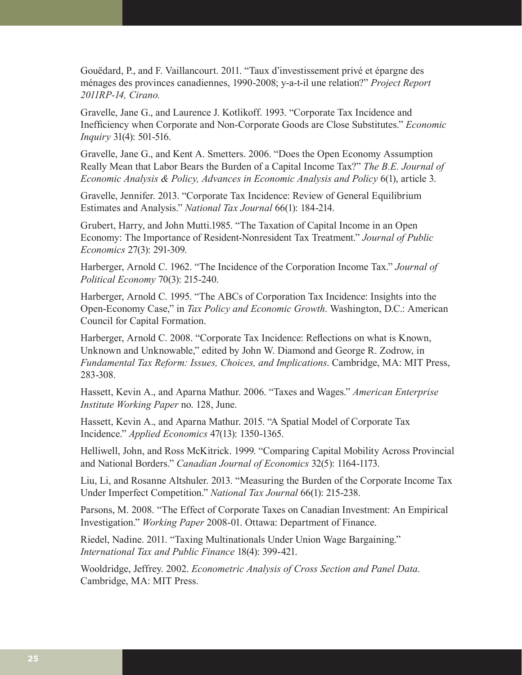Gouëdard, P., and F. Vaillancourt. 2011. "Taux d'investissement privé et épargne des ménages des provinces canadiennes, 1990-2008; y-a-t-il une relation?" *Project Report 2011RP-14, Cirano.*

Gravelle, Jane G., and Laurence J. Kotlikoff. 1993. "Corporate Tax Incidence and Inefficiency when Corporate and Non-Corporate Goods are Close Substitutes." *Economic Inquiry* 31(4): 501-516.

Gravelle, Jane G., and Kent A. Smetters. 2006. "Does the Open Economy Assumption Really Mean that Labor Bears the Burden of a Capital Income Tax?" *The B.E. Journal of Economic Analysis & Policy, Advances in Economic Analysis and Policy* 6(1), article 3.

Gravelle, Jennifer. 2013. "Corporate Tax Incidence: Review of General Equilibrium Estimates and Analysis." *National Tax Journal* 66(1): 184-214.

Grubert, Harry, and John Mutti.1985. "The Taxation of Capital Income in an Open Economy: The Importance of Resident-Nonresident Tax Treatment." *Journal of Public Economics* 27(3): 291-309.

Harberger, Arnold C. 1962. "The Incidence of the Corporation Income Tax." *Journal of Political Economy* 70(3): 215-240.

Harberger, Arnold C. 1995. "The ABCs of Corporation Tax Incidence: Insights into the Open-Economy Case," in *Tax Policy and Economic Growth*. Washington, D.C.: American Council for Capital Formation.

Harberger, Arnold C. 2008. "Corporate Tax Incidence: Reflections on what is Known, Unknown and Unknowable," edited by John W. Diamond and George R. Zodrow, in *Fundamental Tax Reform: Issues, Choices, and Implications*. Cambridge, MA: MIT Press, 283-308.

Hassett, Kevin A., and Aparna Mathur. 2006. "Taxes and Wages." *American Enterprise Institute Working Paper* no. 128, June.

Hassett, Kevin A., and Aparna Mathur. 2015. "A Spatial Model of Corporate Tax Incidence." *Applied Economics* 47(13): 1350-1365.

Helliwell, John, and Ross McKitrick. 1999. "Comparing Capital Mobility Across Provincial and National Borders." *Canadian Journal of Economics* 32(5): 1164-1173.

Liu, Li, and Rosanne Altshuler. 2013. "Measuring the Burden of the Corporate Income Tax Under Imperfect Competition." *National Tax Journal* 66(1): 215-238.

Parsons, M. 2008. "The Effect of Corporate Taxes on Canadian Investment: An Empirical Investigation." *Working Paper* 2008-01. Ottawa: Department of Finance.

Riedel, Nadine. 2011. "Taxing Multinationals Under Union Wage Bargaining." *International Tax and Public Finance* 18(4): 399-421.

Wooldridge, Jeffrey. 2002. *Econometric Analysis of Cross Section and Panel Data*. Cambridge, MA: MIT Press.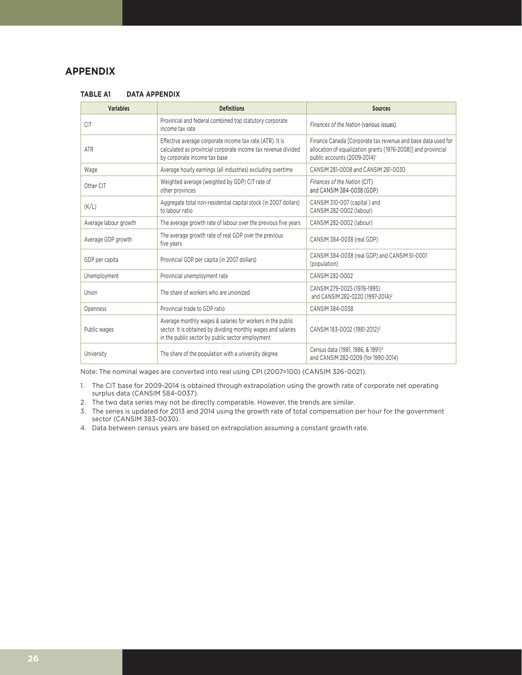# **APPENDIX**

| <b>TABLE A1</b> | <b>DATA APPENDIX</b> |
|-----------------|----------------------|
|-----------------|----------------------|

| <b>Variables</b>      | <b>Definitions</b>                                                                                                                                                              | <b>Sources</b>                                                                                                                                                            |
|-----------------------|---------------------------------------------------------------------------------------------------------------------------------------------------------------------------------|---------------------------------------------------------------------------------------------------------------------------------------------------------------------------|
| <b>CIT</b>            | Provincial and federal combined top statutory corporate<br>income tax rate                                                                                                      | Finances of the Nation (various issues)                                                                                                                                   |
| ATR                   | Effective average corporate income tax rate (ATR). It is<br>calculated as provincial corporate income tax revenue divided<br>by corporate income tax base                       | Finance Canada [Corporate tax revenue and base data used for<br>allocation of equalization grants (1976-2008)] and provincial<br>public accounts (2009-2014) <sup>1</sup> |
| Wage                  | Average hourly earnings (all industries) excluding overtime                                                                                                                     | CANSIM 281-0008 and CANSIM 281-0030                                                                                                                                       |
| Other CIT             | Weighted average (weighted by GDP) CIT rate of<br>other provinces                                                                                                               | Finances of the Nation (CIT)<br>and CANSIM 384-0038 (GDP)                                                                                                                 |
| (K/L)                 | Aggregate total non-residential capital stock (in 2007 dollars)<br>to labour ratio                                                                                              | CANSIM 310-007 (capital) and<br>CANSIM 282-0002 (labour)                                                                                                                  |
| Average labour growth | The average growth rate of labour over the previous five years                                                                                                                  | CANSIM 282-0002 (labour)                                                                                                                                                  |
| Average GDP growth    | The average growth rate of real GDP over the previous<br>five years                                                                                                             | CANSIM 384-0038 (real GDP)                                                                                                                                                |
| GDP per capita        | Provincial GDP per capita (in 2007 dollars)                                                                                                                                     | CANSIM 384-0038 (real GDP) and CANSIM 51-0001<br>(population)                                                                                                             |
| Unemployment          | Provincial unemployment rate                                                                                                                                                    | CANSIM 282-0002                                                                                                                                                           |
| Union                 | The share of workers who are unionized                                                                                                                                          | CANSIM 279-0025 (1976-1995)<br>and CANSIM 282-0220 (1997-2014) <sup>2</sup>                                                                                               |
| Openness              | Provincial trade to GDP ratio                                                                                                                                                   | CANSIM 384-0038                                                                                                                                                           |
| Public wages          | Average monthly wages & salaries for workers in the public<br>sector. It is obtained by dividing monthly wages and salaries<br>in the public sector by public sector employment | CANSIM 183-0002 (1981-2012) <sup>3</sup>                                                                                                                                  |
| University            | The share of the population with a university degree                                                                                                                            | Census data (1981, 1986, & 1991) <sup>4</sup><br>and CANSIM 282-0209 (for 1990-2014)                                                                                      |

Note: The nominal wages are converted into real using CPI (2007=100) (CANSIM 326-0021).

- 1. The CIT base for 2009-2014 is obtained through extrapolation using the growth rate of corporate net operating surplus data (CANSIM 584-0037).
- 2. The two data series may not be directly comparable. However, the trends are similar.
- 3. The series is updated for 2013 and 2014 using the growth rate of total compensation per hour for the government sector (CANSIM 383-0030).
- 4. Data between census years are based on extrapolation assuming a constant growth rate.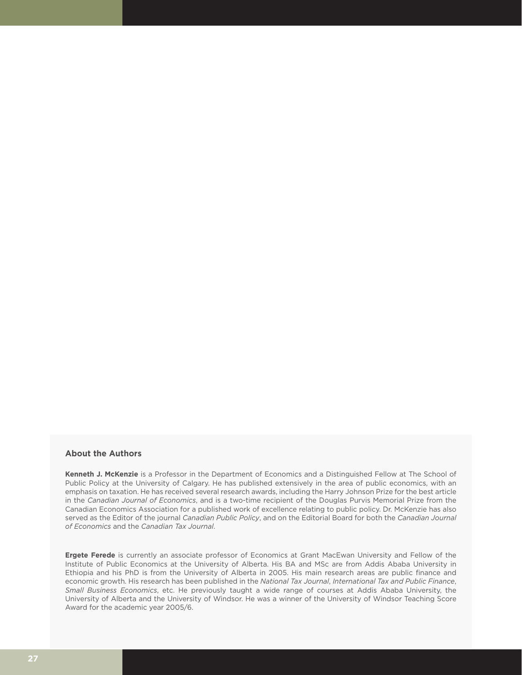#### **About the Authors**

**Kenneth J. McKenzie** is a Professor in the Department of Economics and a Distinguished Fellow at The School of Public Policy at the University of Calgary. He has published extensively in the area of public economics, with an emphasis on taxation. He has received several research awards, including the Harry Johnson Prize for the best article in the *Canadian Journal of Economics*, and is a two-time recipient of the Douglas Purvis Memorial Prize from the Canadian Economics Association for a published work of excellence relating to public policy. Dr. McKenzie has also served as the Editor of the journal *Canadian Public Policy*, and on the Editorial Board for both the *Canadian Journal of Economics* and the *Canadian Tax Journal*.

**Ergete Ferede** is currently an associate professor of Economics at Grant MacEwan University and Fellow of the Institute of Public Economics at the University of Alberta. His BA and MSc are from Addis Ababa University in Ethiopia and his PhD is from the University of Alberta in 2005. His main research areas are public finance and economic growth. His research has been published in the *National Tax Journal*, *International Tax and Public Finance*, *Small Business Economics*, etc. He previously taught a wide range of courses at Addis Ababa University, the University of Alberta and the University of Windsor. He was a winner of the University of Windsor Teaching Score Award for the academic year 2005/6.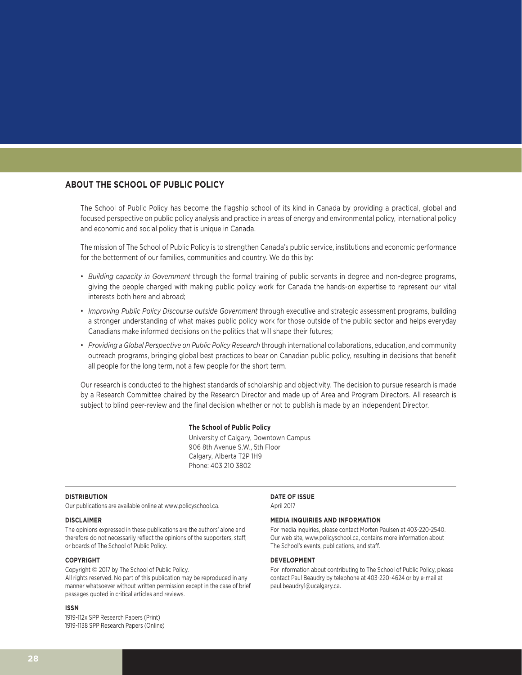#### **ABOUT THE SCHOOL OF PUBLIC POLICY**

The School of Public Policy has become the flagship school of its kind in Canada by providing a practical, global and focused perspective on public policy analysis and practice in areas of energy and environmental policy, international policy and economic and social policy that is unique in Canada.

The mission of The School of Public Policy is to strengthen Canada's public service, institutions and economic performance for the betterment of our families, communities and country. We do this by:

- *Building capacity in Government* through the formal training of public servants in degree and non-degree programs, giving the people charged with making public policy work for Canada the hands-on expertise to represent our vital interests both here and abroad;
- *Improving Public Policy Discourse outside Government* through executive and strategic assessment programs, building a stronger understanding of what makes public policy work for those outside of the public sector and helps everyday Canadians make informed decisions on the politics that will shape their futures;
- *Providing a Global Perspective on Public Policy Research* through international collaborations, education, and community outreach programs, bringing global best practices to bear on Canadian public policy, resulting in decisions that benefit all people for the long term, not a few people for the short term.

Our research is conducted to the highest standards of scholarship and objectivity. The decision to pursue research is made by a Research Committee chaired by the Research Director and made up of Area and Program Directors. All research is subject to blind peer-review and the final decision whether or not to publish is made by an independent Director.

#### **The School of Public Policy**

University of Calgary, Downtown Campus 906 8th Avenue S.W., 5th Floor Calgary, Alberta T2P 1H9 Phone: 403 210 3802

#### **DISTRIBUTION**

Our publications are available online at www.policyschool.ca.

#### **DISCLAIMER**

The opinions expressed in these publications are the authors' alone and therefore do not necessarily reflect the opinions of the supporters, staff, or boards of The School of Public Policy.

#### **COPYRIGHT**

Copyright © 2017 by The School of Public Policy. All rights reserved. No part of this publication may be reproduced in any manner whatsoever without written permission except in the case of brief passages quoted in critical articles and reviews.

#### **ISSN**

1919-112x SPP Research Papers (Print) 1919-1138 SPP Research Papers (Online)

### **DATE OF ISSUE**

April 2017

#### **MEDIA INQUIRIES AND INFORMATION**

For media inquiries, please contact Morten Paulsen at 403-220-2540. Our web site, www.policyschool.ca, contains more information about The School's events, publications, and staff.

#### **DEVELOPMENT**

For information about contributing to The School of Public Policy, please contact Paul Beaudry by telephone at 403-220-4624 or by e-mail at paul.beaudry1@ucalgary.ca.